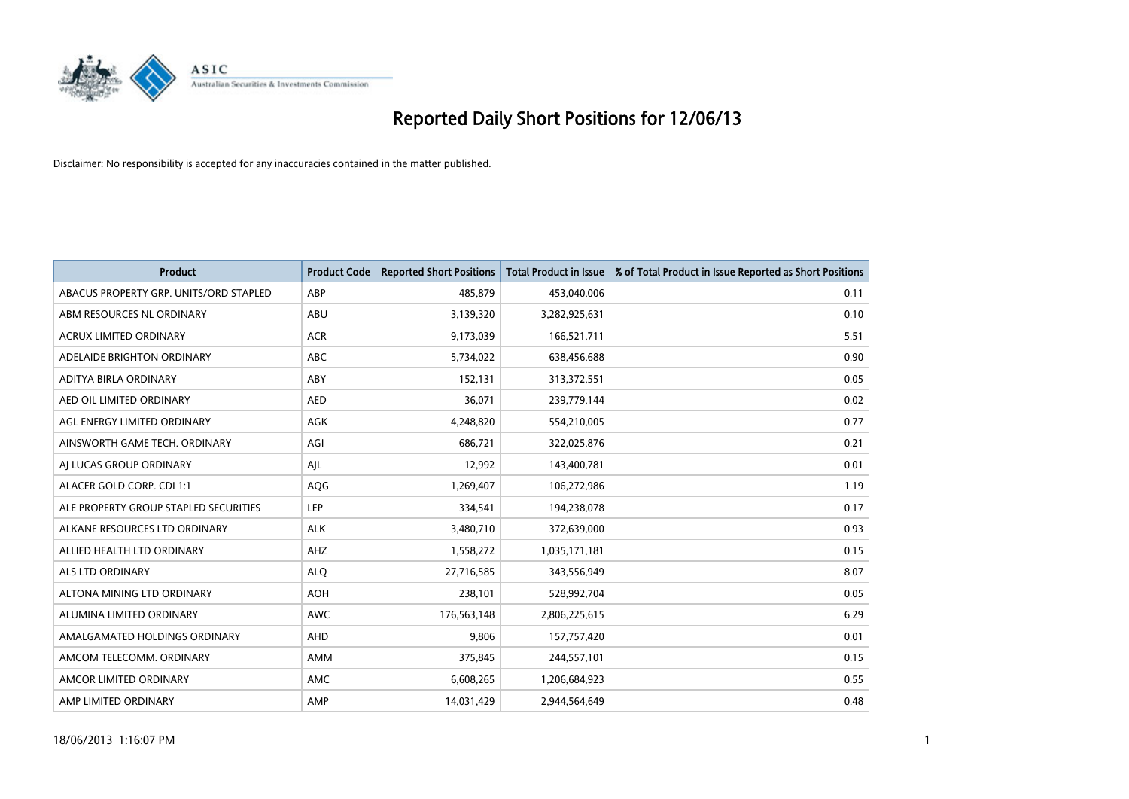

| <b>Product</b>                         | <b>Product Code</b> | <b>Reported Short Positions</b> | <b>Total Product in Issue</b> | % of Total Product in Issue Reported as Short Positions |
|----------------------------------------|---------------------|---------------------------------|-------------------------------|---------------------------------------------------------|
| ABACUS PROPERTY GRP. UNITS/ORD STAPLED | ABP                 | 485,879                         | 453,040,006                   | 0.11                                                    |
| ABM RESOURCES NL ORDINARY              | ABU                 | 3,139,320                       | 3,282,925,631                 | 0.10                                                    |
| <b>ACRUX LIMITED ORDINARY</b>          | <b>ACR</b>          | 9,173,039                       | 166,521,711                   | 5.51                                                    |
| ADELAIDE BRIGHTON ORDINARY             | <b>ABC</b>          | 5,734,022                       | 638,456,688                   | 0.90                                                    |
| ADITYA BIRLA ORDINARY                  | ABY                 | 152,131                         | 313,372,551                   | 0.05                                                    |
| AED OIL LIMITED ORDINARY               | <b>AED</b>          | 36,071                          | 239,779,144                   | 0.02                                                    |
| AGL ENERGY LIMITED ORDINARY            | AGK                 | 4,248,820                       | 554,210,005                   | 0.77                                                    |
| AINSWORTH GAME TECH. ORDINARY          | AGI                 | 686,721                         | 322,025,876                   | 0.21                                                    |
| AI LUCAS GROUP ORDINARY                | AJL                 | 12,992                          | 143,400,781                   | 0.01                                                    |
| ALACER GOLD CORP. CDI 1:1              | AQG                 | 1,269,407                       | 106,272,986                   | 1.19                                                    |
| ALE PROPERTY GROUP STAPLED SECURITIES  | <b>LEP</b>          | 334,541                         | 194,238,078                   | 0.17                                                    |
| ALKANE RESOURCES LTD ORDINARY          | <b>ALK</b>          | 3,480,710                       | 372,639,000                   | 0.93                                                    |
| ALLIED HEALTH LTD ORDINARY             | AHZ                 | 1,558,272                       | 1,035,171,181                 | 0.15                                                    |
| ALS LTD ORDINARY                       | <b>ALO</b>          | 27,716,585                      | 343,556,949                   | 8.07                                                    |
| ALTONA MINING LTD ORDINARY             | <b>AOH</b>          | 238,101                         | 528,992,704                   | 0.05                                                    |
| ALUMINA LIMITED ORDINARY               | <b>AWC</b>          | 176,563,148                     | 2,806,225,615                 | 6.29                                                    |
| AMALGAMATED HOLDINGS ORDINARY          | AHD                 | 9,806                           | 157,757,420                   | 0.01                                                    |
| AMCOM TELECOMM, ORDINARY               | <b>AMM</b>          | 375,845                         | 244,557,101                   | 0.15                                                    |
| AMCOR LIMITED ORDINARY                 | AMC                 | 6,608,265                       | 1,206,684,923                 | 0.55                                                    |
| AMP LIMITED ORDINARY                   | AMP                 | 14,031,429                      | 2,944,564,649                 | 0.48                                                    |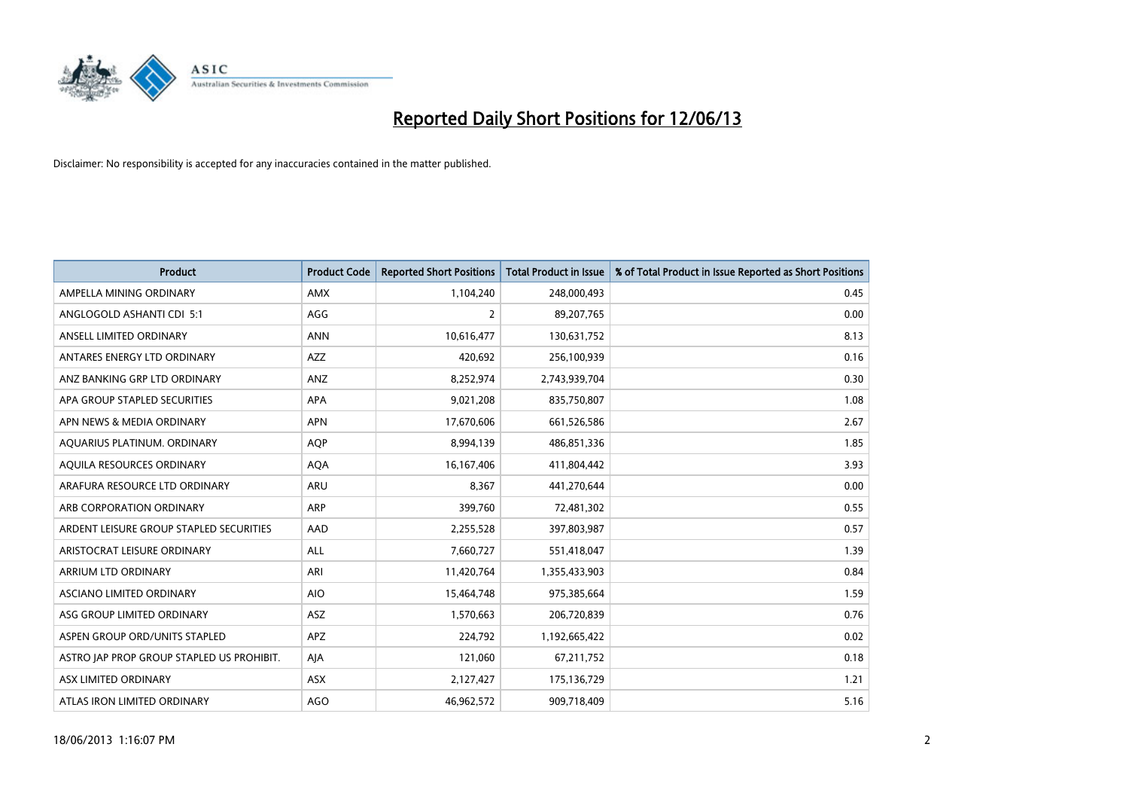

| <b>Product</b>                            | <b>Product Code</b> | <b>Reported Short Positions</b> | <b>Total Product in Issue</b> | % of Total Product in Issue Reported as Short Positions |
|-------------------------------------------|---------------------|---------------------------------|-------------------------------|---------------------------------------------------------|
| AMPELLA MINING ORDINARY                   | <b>AMX</b>          | 1,104,240                       | 248,000,493                   | 0.45                                                    |
| ANGLOGOLD ASHANTI CDI 5:1                 | AGG                 | $\overline{2}$                  | 89,207,765                    | 0.00                                                    |
| ANSELL LIMITED ORDINARY                   | <b>ANN</b>          | 10,616,477                      | 130,631,752                   | 8.13                                                    |
| ANTARES ENERGY LTD ORDINARY               | AZZ                 | 420,692                         | 256,100,939                   | 0.16                                                    |
| ANZ BANKING GRP LTD ORDINARY              | ANZ                 | 8,252,974                       | 2,743,939,704                 | 0.30                                                    |
| APA GROUP STAPLED SECURITIES              | <b>APA</b>          | 9,021,208                       | 835,750,807                   | 1.08                                                    |
| APN NEWS & MEDIA ORDINARY                 | <b>APN</b>          | 17,670,606                      | 661,526,586                   | 2.67                                                    |
| AQUARIUS PLATINUM. ORDINARY               | <b>AQP</b>          | 8,994,139                       | 486,851,336                   | 1.85                                                    |
| AQUILA RESOURCES ORDINARY                 | <b>AQA</b>          | 16, 167, 406                    | 411,804,442                   | 3.93                                                    |
| ARAFURA RESOURCE LTD ORDINARY             | <b>ARU</b>          | 8,367                           | 441,270,644                   | 0.00                                                    |
| ARB CORPORATION ORDINARY                  | <b>ARP</b>          | 399,760                         | 72,481,302                    | 0.55                                                    |
| ARDENT LEISURE GROUP STAPLED SECURITIES   | AAD                 | 2,255,528                       | 397,803,987                   | 0.57                                                    |
| ARISTOCRAT LEISURE ORDINARY               | ALL                 | 7,660,727                       | 551,418,047                   | 1.39                                                    |
| ARRIUM LTD ORDINARY                       | ARI                 | 11,420,764                      | 1,355,433,903                 | 0.84                                                    |
| ASCIANO LIMITED ORDINARY                  | <b>AIO</b>          | 15,464,748                      | 975,385,664                   | 1.59                                                    |
| ASG GROUP LIMITED ORDINARY                | ASZ                 | 1,570,663                       | 206,720,839                   | 0.76                                                    |
| ASPEN GROUP ORD/UNITS STAPLED             | APZ                 | 224,792                         | 1,192,665,422                 | 0.02                                                    |
| ASTRO JAP PROP GROUP STAPLED US PROHIBIT. | AJA                 | 121,060                         | 67,211,752                    | 0.18                                                    |
| ASX LIMITED ORDINARY                      | ASX                 | 2,127,427                       | 175,136,729                   | 1.21                                                    |
| ATLAS IRON LIMITED ORDINARY               | <b>AGO</b>          | 46,962,572                      | 909,718,409                   | 5.16                                                    |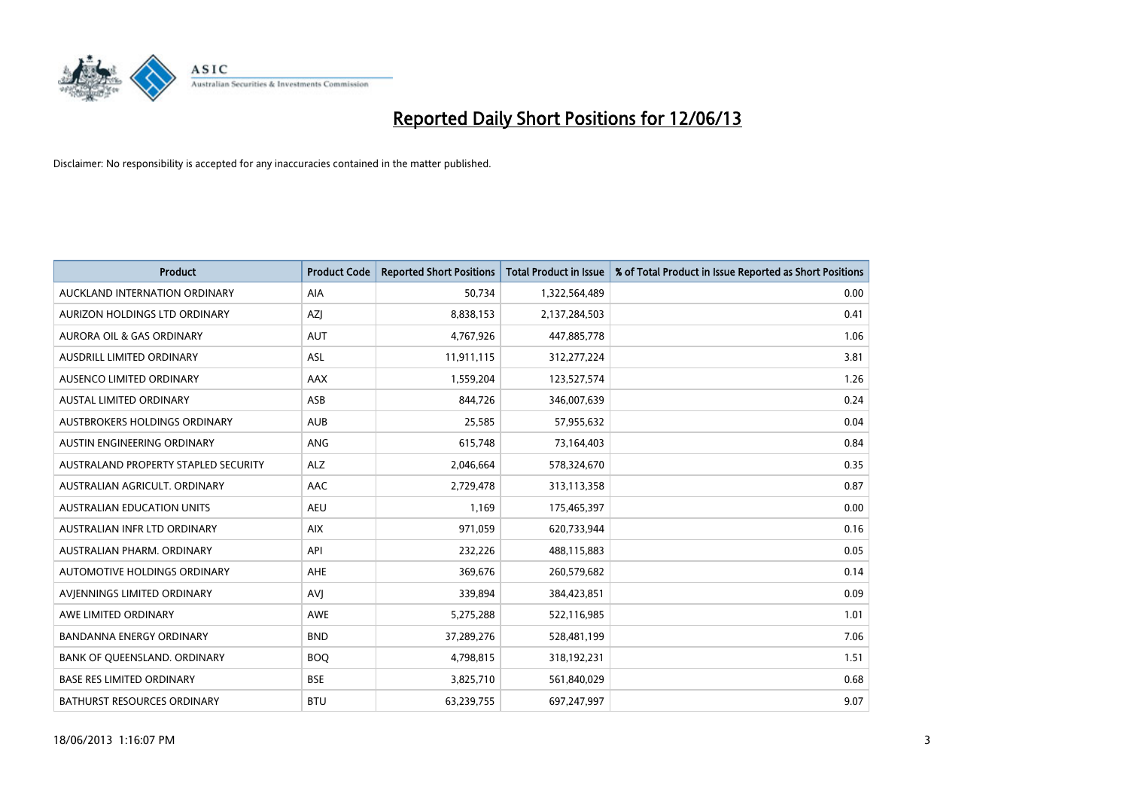

| <b>Product</b>                       | <b>Product Code</b> | <b>Reported Short Positions</b> | <b>Total Product in Issue</b> | % of Total Product in Issue Reported as Short Positions |
|--------------------------------------|---------------------|---------------------------------|-------------------------------|---------------------------------------------------------|
| AUCKLAND INTERNATION ORDINARY        | AIA                 | 50,734                          | 1,322,564,489                 | 0.00                                                    |
| AURIZON HOLDINGS LTD ORDINARY        | AZJ                 | 8,838,153                       | 2,137,284,503                 | 0.41                                                    |
| AURORA OIL & GAS ORDINARY            | <b>AUT</b>          | 4,767,926                       | 447,885,778                   | 1.06                                                    |
| AUSDRILL LIMITED ORDINARY            | <b>ASL</b>          | 11,911,115                      | 312,277,224                   | 3.81                                                    |
| AUSENCO LIMITED ORDINARY             | <b>AAX</b>          | 1,559,204                       | 123,527,574                   | 1.26                                                    |
| <b>AUSTAL LIMITED ORDINARY</b>       | ASB                 | 844,726                         | 346,007,639                   | 0.24                                                    |
| AUSTBROKERS HOLDINGS ORDINARY        | <b>AUB</b>          | 25,585                          | 57,955,632                    | 0.04                                                    |
| AUSTIN ENGINEERING ORDINARY          | ANG                 | 615,748                         | 73,164,403                    | 0.84                                                    |
| AUSTRALAND PROPERTY STAPLED SECURITY | <b>ALZ</b>          | 2,046,664                       | 578,324,670                   | 0.35                                                    |
| AUSTRALIAN AGRICULT, ORDINARY        | AAC                 | 2,729,478                       | 313,113,358                   | 0.87                                                    |
| AUSTRALIAN EDUCATION UNITS           | AEU                 | 1,169                           | 175,465,397                   | 0.00                                                    |
| AUSTRALIAN INFR LTD ORDINARY         | <b>AIX</b>          | 971,059                         | 620,733,944                   | 0.16                                                    |
| AUSTRALIAN PHARM, ORDINARY           | API                 | 232,226                         | 488,115,883                   | 0.05                                                    |
| AUTOMOTIVE HOLDINGS ORDINARY         | <b>AHE</b>          | 369,676                         | 260,579,682                   | 0.14                                                    |
| AVJENNINGS LIMITED ORDINARY          | <b>AVJ</b>          | 339,894                         | 384,423,851                   | 0.09                                                    |
| AWE LIMITED ORDINARY                 | AWE                 | 5,275,288                       | 522,116,985                   | 1.01                                                    |
| BANDANNA ENERGY ORDINARY             | <b>BND</b>          | 37,289,276                      | 528,481,199                   | 7.06                                                    |
| BANK OF QUEENSLAND. ORDINARY         | <b>BOQ</b>          | 4,798,815                       | 318,192,231                   | 1.51                                                    |
| <b>BASE RES LIMITED ORDINARY</b>     | <b>BSE</b>          | 3,825,710                       | 561,840,029                   | 0.68                                                    |
| BATHURST RESOURCES ORDINARY          | <b>BTU</b>          | 63,239,755                      | 697,247,997                   | 9.07                                                    |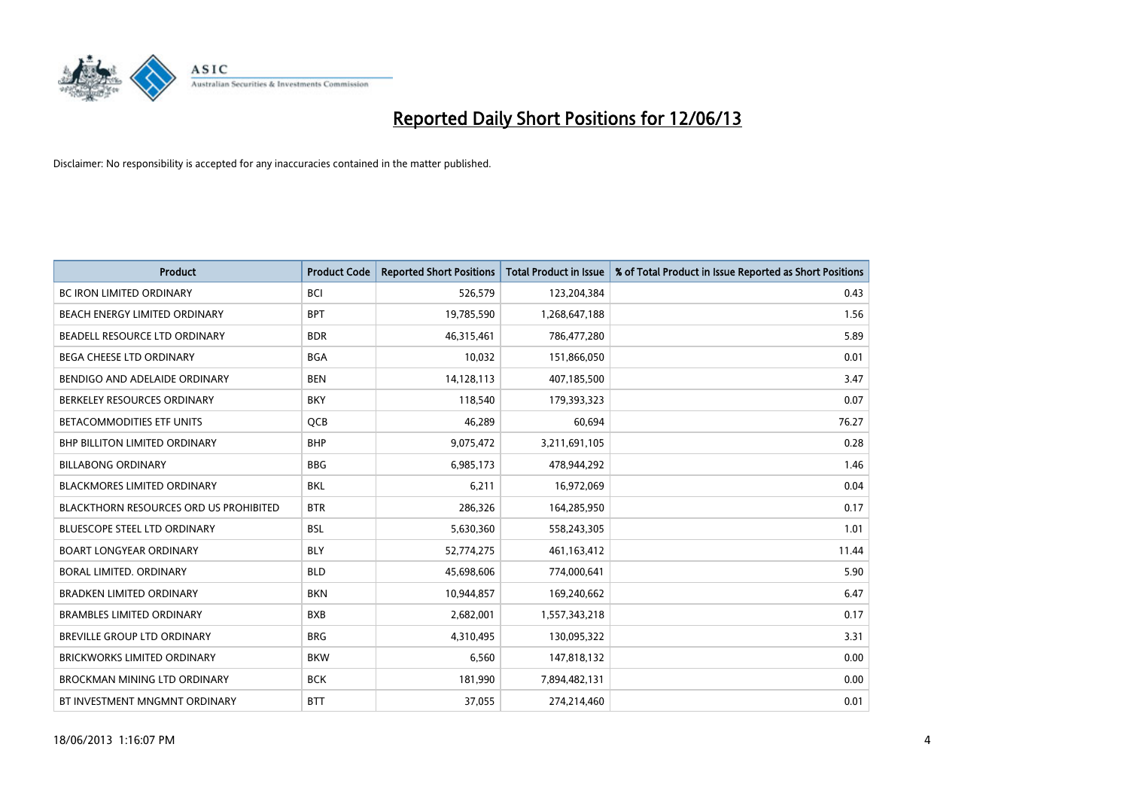

| <b>Product</b>                                | <b>Product Code</b> | <b>Reported Short Positions</b> | <b>Total Product in Issue</b> | % of Total Product in Issue Reported as Short Positions |
|-----------------------------------------------|---------------------|---------------------------------|-------------------------------|---------------------------------------------------------|
| <b>BC IRON LIMITED ORDINARY</b>               | <b>BCI</b>          | 526,579                         | 123,204,384                   | 0.43                                                    |
| BEACH ENERGY LIMITED ORDINARY                 | <b>BPT</b>          | 19,785,590                      | 1,268,647,188                 | 1.56                                                    |
| BEADELL RESOURCE LTD ORDINARY                 | <b>BDR</b>          | 46,315,461                      | 786,477,280                   | 5.89                                                    |
| BEGA CHEESE LTD ORDINARY                      | <b>BGA</b>          | 10,032                          | 151,866,050                   | 0.01                                                    |
| BENDIGO AND ADELAIDE ORDINARY                 | <b>BEN</b>          | 14,128,113                      | 407,185,500                   | 3.47                                                    |
| BERKELEY RESOURCES ORDINARY                   | <b>BKY</b>          | 118,540                         | 179,393,323                   | 0.07                                                    |
| <b>BETACOMMODITIES ETF UNITS</b>              | QCB                 | 46,289                          | 60,694                        | 76.27                                                   |
| <b>BHP BILLITON LIMITED ORDINARY</b>          | <b>BHP</b>          | 9,075,472                       | 3,211,691,105                 | 0.28                                                    |
| <b>BILLABONG ORDINARY</b>                     | <b>BBG</b>          | 6,985,173                       | 478,944,292                   | 1.46                                                    |
| <b>BLACKMORES LIMITED ORDINARY</b>            | <b>BKL</b>          | 6,211                           | 16,972,069                    | 0.04                                                    |
| <b>BLACKTHORN RESOURCES ORD US PROHIBITED</b> | <b>BTR</b>          | 286,326                         | 164,285,950                   | 0.17                                                    |
| <b>BLUESCOPE STEEL LTD ORDINARY</b>           | <b>BSL</b>          | 5,630,360                       | 558,243,305                   | 1.01                                                    |
| <b>BOART LONGYEAR ORDINARY</b>                | <b>BLY</b>          | 52,774,275                      | 461,163,412                   | 11.44                                                   |
| BORAL LIMITED, ORDINARY                       | <b>BLD</b>          | 45,698,606                      | 774,000,641                   | 5.90                                                    |
| <b>BRADKEN LIMITED ORDINARY</b>               | <b>BKN</b>          | 10,944,857                      | 169,240,662                   | 6.47                                                    |
| <b>BRAMBLES LIMITED ORDINARY</b>              | <b>BXB</b>          | 2,682,001                       | 1,557,343,218                 | 0.17                                                    |
| BREVILLE GROUP LTD ORDINARY                   | <b>BRG</b>          | 4,310,495                       | 130,095,322                   | 3.31                                                    |
| <b>BRICKWORKS LIMITED ORDINARY</b>            | <b>BKW</b>          | 6,560                           | 147,818,132                   | 0.00                                                    |
| <b>BROCKMAN MINING LTD ORDINARY</b>           | <b>BCK</b>          | 181,990                         | 7,894,482,131                 | 0.00                                                    |
| BT INVESTMENT MNGMNT ORDINARY                 | <b>BTT</b>          | 37,055                          | 274,214,460                   | 0.01                                                    |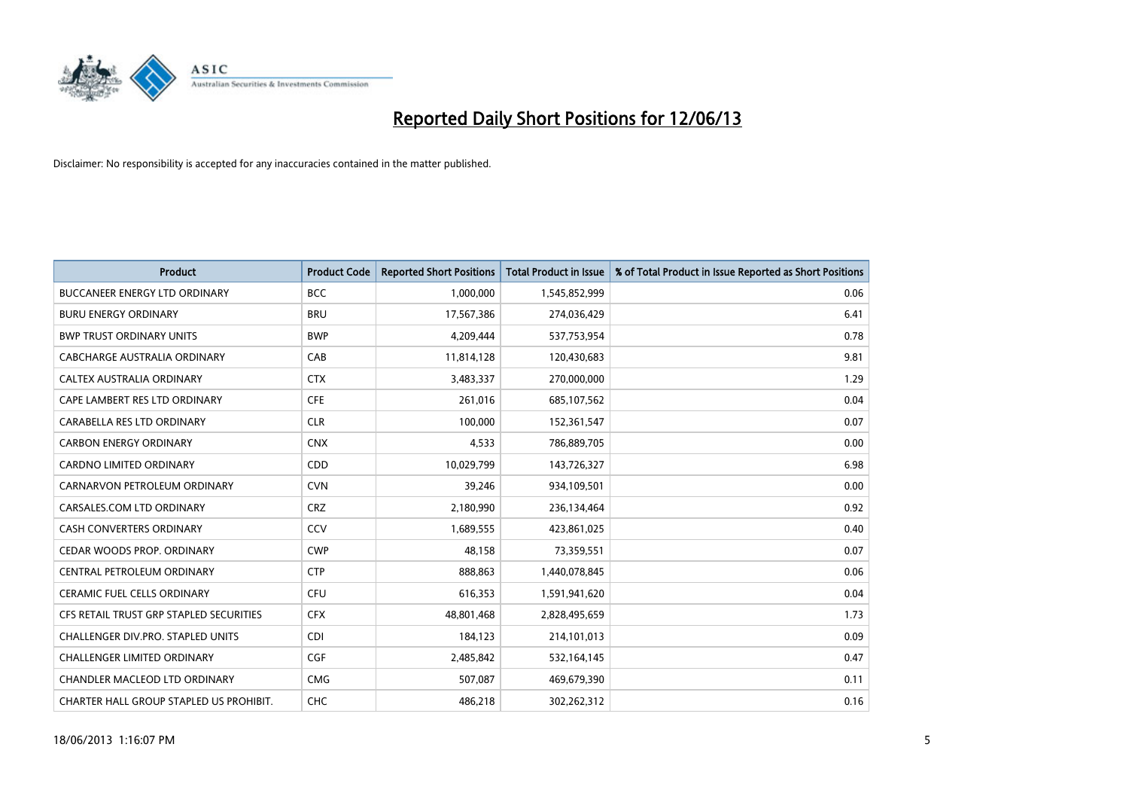

| <b>Product</b>                          | <b>Product Code</b> | <b>Reported Short Positions</b> | <b>Total Product in Issue</b> | % of Total Product in Issue Reported as Short Positions |
|-----------------------------------------|---------------------|---------------------------------|-------------------------------|---------------------------------------------------------|
| <b>BUCCANEER ENERGY LTD ORDINARY</b>    | <b>BCC</b>          | 1,000,000                       | 1,545,852,999                 | 0.06                                                    |
| <b>BURU ENERGY ORDINARY</b>             | <b>BRU</b>          | 17,567,386                      | 274,036,429                   | 6.41                                                    |
| <b>BWP TRUST ORDINARY UNITS</b>         | <b>BWP</b>          | 4,209,444                       | 537,753,954                   | 0.78                                                    |
| CABCHARGE AUSTRALIA ORDINARY            | CAB                 | 11,814,128                      | 120,430,683                   | 9.81                                                    |
| CALTEX AUSTRALIA ORDINARY               | <b>CTX</b>          | 3,483,337                       | 270,000,000                   | 1.29                                                    |
| CAPE LAMBERT RES LTD ORDINARY           | <b>CFE</b>          | 261,016                         | 685,107,562                   | 0.04                                                    |
| CARABELLA RES LTD ORDINARY              | <b>CLR</b>          | 100.000                         | 152,361,547                   | 0.07                                                    |
| <b>CARBON ENERGY ORDINARY</b>           | <b>CNX</b>          | 4,533                           | 786,889,705                   | 0.00                                                    |
| CARDNO LIMITED ORDINARY                 | CDD                 | 10,029,799                      | 143,726,327                   | 6.98                                                    |
| CARNARVON PETROLEUM ORDINARY            | <b>CVN</b>          | 39,246                          | 934,109,501                   | 0.00                                                    |
| CARSALES.COM LTD ORDINARY               | <b>CRZ</b>          | 2,180,990                       | 236,134,464                   | 0.92                                                    |
| <b>CASH CONVERTERS ORDINARY</b>         | CCV                 | 1,689,555                       | 423,861,025                   | 0.40                                                    |
| CEDAR WOODS PROP. ORDINARY              | <b>CWP</b>          | 48,158                          | 73,359,551                    | 0.07                                                    |
| CENTRAL PETROLEUM ORDINARY              | <b>CTP</b>          | 888,863                         | 1,440,078,845                 | 0.06                                                    |
| <b>CERAMIC FUEL CELLS ORDINARY</b>      | <b>CFU</b>          | 616,353                         | 1,591,941,620                 | 0.04                                                    |
| CFS RETAIL TRUST GRP STAPLED SECURITIES | <b>CFX</b>          | 48,801,468                      | 2,828,495,659                 | 1.73                                                    |
| CHALLENGER DIV.PRO. STAPLED UNITS       | <b>CDI</b>          | 184,123                         | 214,101,013                   | 0.09                                                    |
| <b>CHALLENGER LIMITED ORDINARY</b>      | <b>CGF</b>          | 2,485,842                       | 532,164,145                   | 0.47                                                    |
| CHANDLER MACLEOD LTD ORDINARY           | <b>CMG</b>          | 507,087                         | 469,679,390                   | 0.11                                                    |
| CHARTER HALL GROUP STAPLED US PROHIBIT. | <b>CHC</b>          | 486,218                         | 302,262,312                   | 0.16                                                    |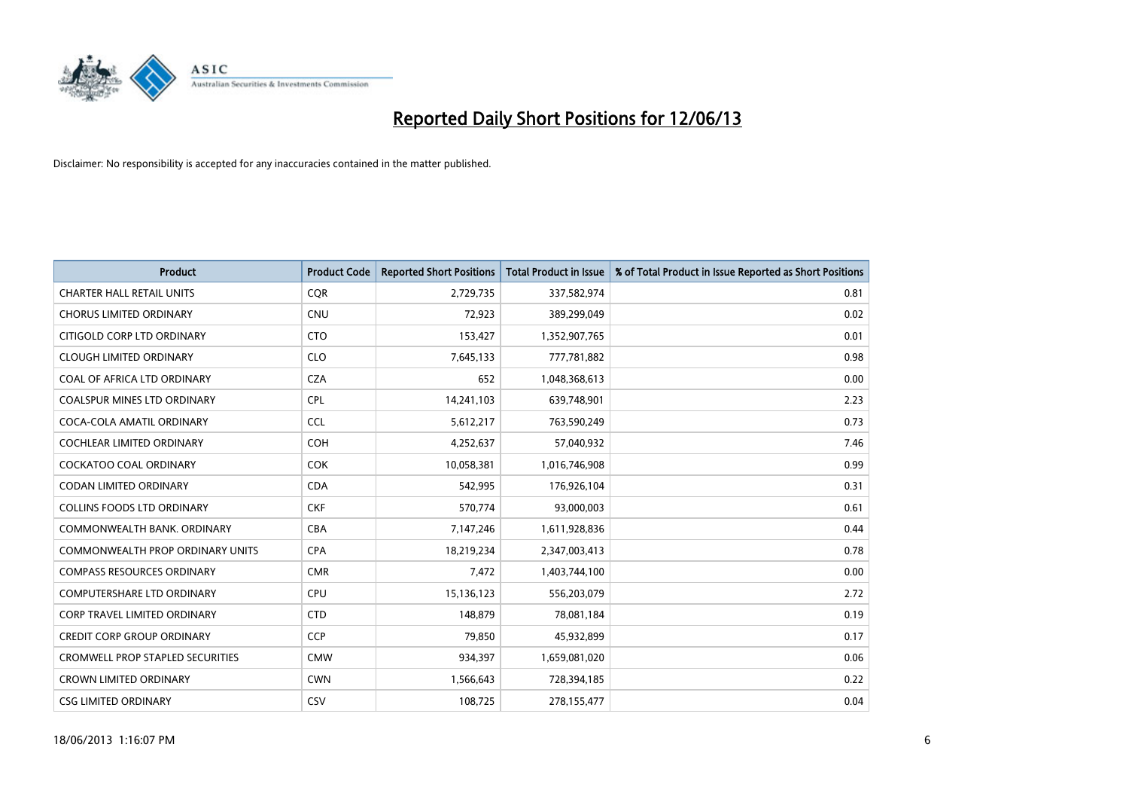

| <b>Product</b>                          | <b>Product Code</b> | <b>Reported Short Positions</b> | <b>Total Product in Issue</b> | % of Total Product in Issue Reported as Short Positions |
|-----------------------------------------|---------------------|---------------------------------|-------------------------------|---------------------------------------------------------|
| <b>CHARTER HALL RETAIL UNITS</b>        | <b>CQR</b>          | 2,729,735                       | 337,582,974                   | 0.81                                                    |
| <b>CHORUS LIMITED ORDINARY</b>          | <b>CNU</b>          | 72,923                          | 389,299,049                   | 0.02                                                    |
| CITIGOLD CORP LTD ORDINARY              | <b>CTO</b>          | 153,427                         | 1,352,907,765                 | 0.01                                                    |
| <b>CLOUGH LIMITED ORDINARY</b>          | <b>CLO</b>          | 7,645,133                       | 777,781,882                   | 0.98                                                    |
| COAL OF AFRICA LTD ORDINARY             | <b>CZA</b>          | 652                             | 1,048,368,613                 | 0.00                                                    |
| <b>COALSPUR MINES LTD ORDINARY</b>      | <b>CPL</b>          | 14,241,103                      | 639,748,901                   | 2.23                                                    |
| COCA-COLA AMATIL ORDINARY               | <b>CCL</b>          | 5,612,217                       | 763,590,249                   | 0.73                                                    |
| COCHLEAR LIMITED ORDINARY               | <b>COH</b>          | 4,252,637                       | 57,040,932                    | 7.46                                                    |
| <b>COCKATOO COAL ORDINARY</b>           | <b>COK</b>          | 10,058,381                      | 1,016,746,908                 | 0.99                                                    |
| <b>CODAN LIMITED ORDINARY</b>           | <b>CDA</b>          | 542,995                         | 176,926,104                   | 0.31                                                    |
| COLLINS FOODS LTD ORDINARY              | <b>CKF</b>          | 570,774                         | 93,000,003                    | 0.61                                                    |
| COMMONWEALTH BANK, ORDINARY             | <b>CBA</b>          | 7,147,246                       | 1,611,928,836                 | 0.44                                                    |
| <b>COMMONWEALTH PROP ORDINARY UNITS</b> | <b>CPA</b>          | 18,219,234                      | 2,347,003,413                 | 0.78                                                    |
| <b>COMPASS RESOURCES ORDINARY</b>       | <b>CMR</b>          | 7,472                           | 1,403,744,100                 | 0.00                                                    |
| <b>COMPUTERSHARE LTD ORDINARY</b>       | <b>CPU</b>          | 15,136,123                      | 556,203,079                   | 2.72                                                    |
| CORP TRAVEL LIMITED ORDINARY            | <b>CTD</b>          | 148,879                         | 78,081,184                    | 0.19                                                    |
| <b>CREDIT CORP GROUP ORDINARY</b>       | <b>CCP</b>          | 79,850                          | 45,932,899                    | 0.17                                                    |
| CROMWELL PROP STAPLED SECURITIES        | <b>CMW</b>          | 934,397                         | 1,659,081,020                 | 0.06                                                    |
| <b>CROWN LIMITED ORDINARY</b>           | <b>CWN</b>          | 1,566,643                       | 728,394,185                   | 0.22                                                    |
| <b>CSG LIMITED ORDINARY</b>             | CSV                 | 108,725                         | 278,155,477                   | 0.04                                                    |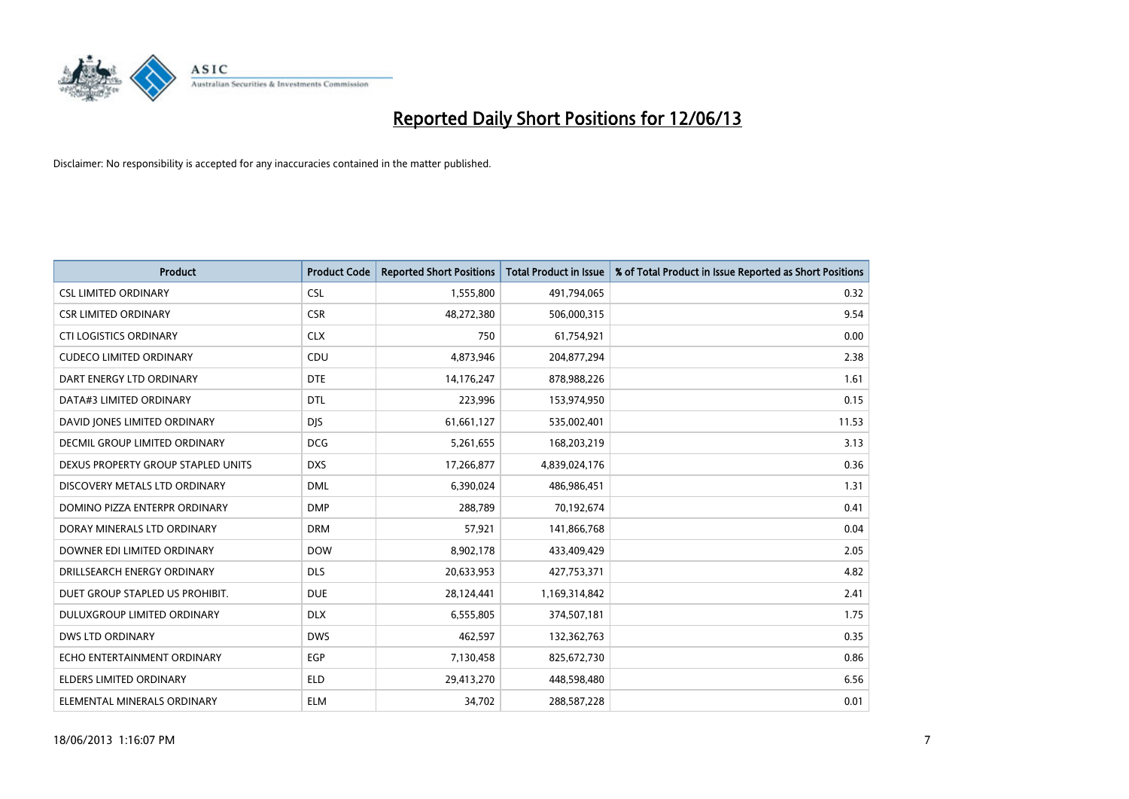

| <b>Product</b>                       | <b>Product Code</b> | <b>Reported Short Positions</b> | Total Product in Issue | % of Total Product in Issue Reported as Short Positions |
|--------------------------------------|---------------------|---------------------------------|------------------------|---------------------------------------------------------|
| <b>CSL LIMITED ORDINARY</b>          | <b>CSL</b>          | 1,555,800                       | 491,794,065            | 0.32                                                    |
| <b>CSR LIMITED ORDINARY</b>          | <b>CSR</b>          | 48,272,380                      | 506,000,315            | 9.54                                                    |
| <b>CTI LOGISTICS ORDINARY</b>        | <b>CLX</b>          | 750                             | 61,754,921             | 0.00                                                    |
| <b>CUDECO LIMITED ORDINARY</b>       | CDU                 | 4,873,946                       | 204,877,294            | 2.38                                                    |
| DART ENERGY LTD ORDINARY             | <b>DTE</b>          | 14,176,247                      | 878,988,226            | 1.61                                                    |
| DATA#3 LIMITED ORDINARY              | <b>DTL</b>          | 223,996                         | 153,974,950            | 0.15                                                    |
| DAVID JONES LIMITED ORDINARY         | <b>DIS</b>          | 61,661,127                      | 535,002,401            | 11.53                                                   |
| <b>DECMIL GROUP LIMITED ORDINARY</b> | <b>DCG</b>          | 5,261,655                       | 168,203,219            | 3.13                                                    |
| DEXUS PROPERTY GROUP STAPLED UNITS   | <b>DXS</b>          | 17,266,877                      | 4,839,024,176          | 0.36                                                    |
| DISCOVERY METALS LTD ORDINARY        | <b>DML</b>          | 6,390,024                       | 486,986,451            | 1.31                                                    |
| DOMINO PIZZA ENTERPR ORDINARY        | <b>DMP</b>          | 288,789                         | 70,192,674             | 0.41                                                    |
| DORAY MINERALS LTD ORDINARY          | <b>DRM</b>          | 57,921                          | 141,866,768            | 0.04                                                    |
| DOWNER EDI LIMITED ORDINARY          | <b>DOW</b>          | 8,902,178                       | 433,409,429            | 2.05                                                    |
| DRILLSEARCH ENERGY ORDINARY          | <b>DLS</b>          | 20,633,953                      | 427,753,371            | 4.82                                                    |
| DUET GROUP STAPLED US PROHIBIT.      | <b>DUE</b>          | 28,124,441                      | 1,169,314,842          | 2.41                                                    |
| DULUXGROUP LIMITED ORDINARY          | <b>DLX</b>          | 6,555,805                       | 374,507,181            | 1.75                                                    |
| <b>DWS LTD ORDINARY</b>              | <b>DWS</b>          | 462,597                         | 132,362,763            | 0.35                                                    |
| ECHO ENTERTAINMENT ORDINARY          | <b>EGP</b>          | 7,130,458                       | 825,672,730            | 0.86                                                    |
| <b>ELDERS LIMITED ORDINARY</b>       | <b>ELD</b>          | 29,413,270                      | 448,598,480            | 6.56                                                    |
| ELEMENTAL MINERALS ORDINARY          | <b>ELM</b>          | 34,702                          | 288,587,228            | 0.01                                                    |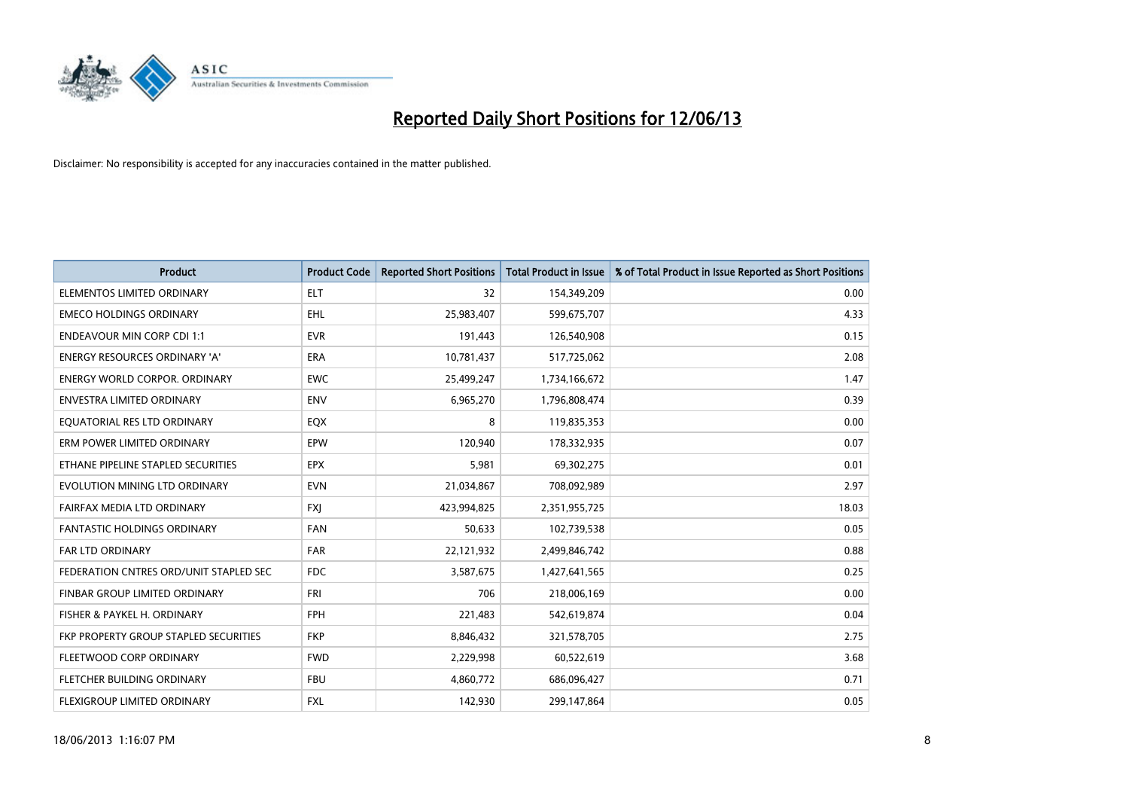

| <b>Product</b>                         | <b>Product Code</b> | <b>Reported Short Positions</b> | <b>Total Product in Issue</b> | % of Total Product in Issue Reported as Short Positions |
|----------------------------------------|---------------------|---------------------------------|-------------------------------|---------------------------------------------------------|
| ELEMENTOS LIMITED ORDINARY             | <b>ELT</b>          | 32                              | 154,349,209                   | 0.00                                                    |
| <b>EMECO HOLDINGS ORDINARY</b>         | <b>EHL</b>          | 25,983,407                      | 599,675,707                   | 4.33                                                    |
| <b>ENDEAVOUR MIN CORP CDI 1:1</b>      | <b>EVR</b>          | 191,443                         | 126,540,908                   | 0.15                                                    |
| ENERGY RESOURCES ORDINARY 'A'          | <b>ERA</b>          | 10,781,437                      | 517,725,062                   | 2.08                                                    |
| <b>ENERGY WORLD CORPOR, ORDINARY</b>   | <b>EWC</b>          | 25,499,247                      | 1,734,166,672                 | 1.47                                                    |
| ENVESTRA LIMITED ORDINARY              | <b>ENV</b>          | 6,965,270                       | 1,796,808,474                 | 0.39                                                    |
| EQUATORIAL RES LTD ORDINARY            | EQX                 | 8                               | 119,835,353                   | 0.00                                                    |
| ERM POWER LIMITED ORDINARY             | EPW                 | 120,940                         | 178,332,935                   | 0.07                                                    |
| ETHANE PIPELINE STAPLED SECURITIES     | <b>EPX</b>          | 5,981                           | 69,302,275                    | 0.01                                                    |
| EVOLUTION MINING LTD ORDINARY          | <b>EVN</b>          | 21,034,867                      | 708,092,989                   | 2.97                                                    |
| FAIRFAX MEDIA LTD ORDINARY             | <b>FXI</b>          | 423,994,825                     | 2,351,955,725                 | 18.03                                                   |
| <b>FANTASTIC HOLDINGS ORDINARY</b>     | <b>FAN</b>          | 50,633                          | 102,739,538                   | 0.05                                                    |
| <b>FAR LTD ORDINARY</b>                | <b>FAR</b>          | 22,121,932                      | 2,499,846,742                 | 0.88                                                    |
| FEDERATION CNTRES ORD/UNIT STAPLED SEC | FDC                 | 3,587,675                       | 1,427,641,565                 | 0.25                                                    |
| FINBAR GROUP LIMITED ORDINARY          | <b>FRI</b>          | 706                             | 218,006,169                   | 0.00                                                    |
| FISHER & PAYKEL H. ORDINARY            | <b>FPH</b>          | 221,483                         | 542,619,874                   | 0.04                                                    |
| FKP PROPERTY GROUP STAPLED SECURITIES  | <b>FKP</b>          | 8,846,432                       | 321,578,705                   | 2.75                                                    |
| FLEETWOOD CORP ORDINARY                | <b>FWD</b>          | 2,229,998                       | 60,522,619                    | 3.68                                                    |
| FLETCHER BUILDING ORDINARY             | <b>FBU</b>          | 4,860,772                       | 686,096,427                   | 0.71                                                    |
| FLEXIGROUP LIMITED ORDINARY            | <b>FXL</b>          | 142,930                         | 299,147,864                   | 0.05                                                    |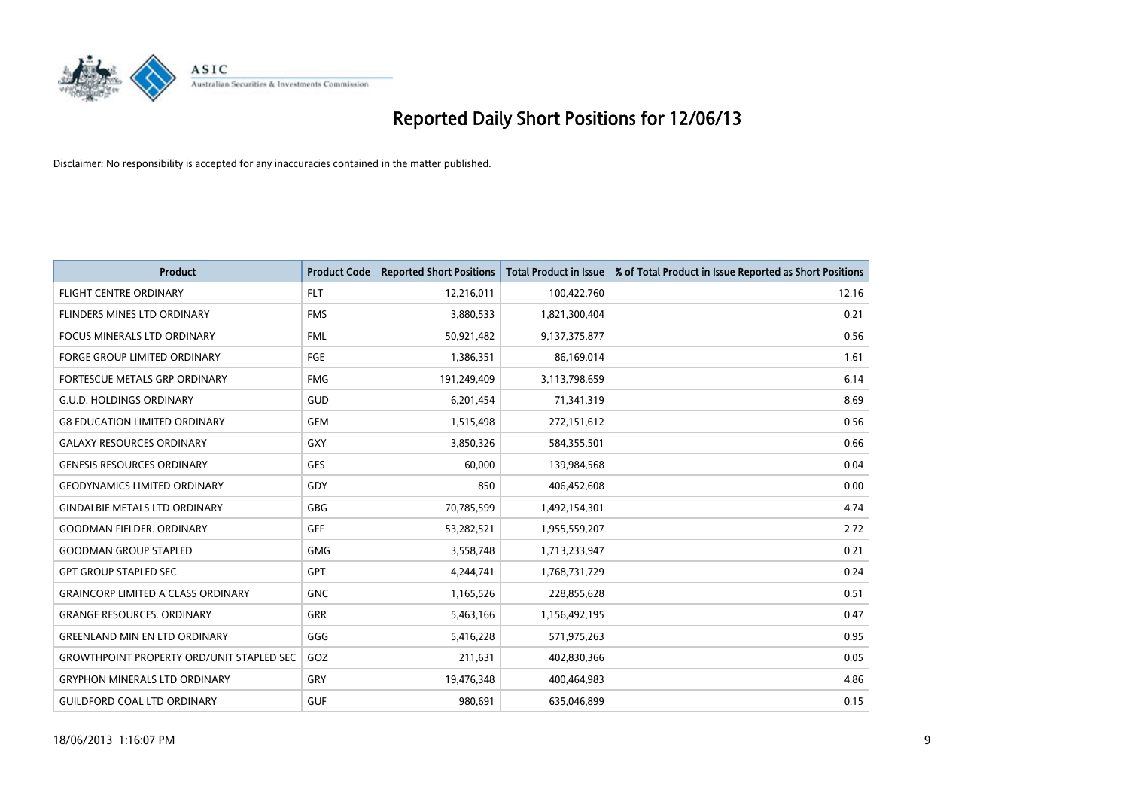

| <b>Product</b>                                   | <b>Product Code</b> | <b>Reported Short Positions</b> | <b>Total Product in Issue</b> | % of Total Product in Issue Reported as Short Positions |
|--------------------------------------------------|---------------------|---------------------------------|-------------------------------|---------------------------------------------------------|
| <b>FLIGHT CENTRE ORDINARY</b>                    | <b>FLT</b>          | 12,216,011                      | 100,422,760                   | 12.16                                                   |
| FLINDERS MINES LTD ORDINARY                      | <b>FMS</b>          | 3,880,533                       | 1,821,300,404                 | 0.21                                                    |
| FOCUS MINERALS LTD ORDINARY                      | <b>FML</b>          | 50,921,482                      | 9,137,375,877                 | 0.56                                                    |
| <b>FORGE GROUP LIMITED ORDINARY</b>              | FGE                 | 1,386,351                       | 86,169,014                    | 1.61                                                    |
| FORTESCUE METALS GRP ORDINARY                    | <b>FMG</b>          | 191,249,409                     | 3,113,798,659                 | 6.14                                                    |
| <b>G.U.D. HOLDINGS ORDINARY</b>                  | GUD                 | 6,201,454                       | 71,341,319                    | 8.69                                                    |
| <b>G8 EDUCATION LIMITED ORDINARY</b>             | <b>GEM</b>          | 1,515,498                       | 272,151,612                   | 0.56                                                    |
| <b>GALAXY RESOURCES ORDINARY</b>                 | GXY                 | 3,850,326                       | 584,355,501                   | 0.66                                                    |
| <b>GENESIS RESOURCES ORDINARY</b>                | <b>GES</b>          | 60.000                          | 139,984,568                   | 0.04                                                    |
| <b>GEODYNAMICS LIMITED ORDINARY</b>              | GDY                 | 850                             | 406,452,608                   | 0.00                                                    |
| <b>GINDALBIE METALS LTD ORDINARY</b>             | <b>GBG</b>          | 70,785,599                      | 1,492,154,301                 | 4.74                                                    |
| <b>GOODMAN FIELDER, ORDINARY</b>                 | <b>GFF</b>          | 53,282,521                      | 1,955,559,207                 | 2.72                                                    |
| <b>GOODMAN GROUP STAPLED</b>                     | <b>GMG</b>          | 3,558,748                       | 1,713,233,947                 | 0.21                                                    |
| <b>GPT GROUP STAPLED SEC.</b>                    | <b>GPT</b>          | 4,244,741                       | 1,768,731,729                 | 0.24                                                    |
| <b>GRAINCORP LIMITED A CLASS ORDINARY</b>        | <b>GNC</b>          | 1,165,526                       | 228,855,628                   | 0.51                                                    |
| <b>GRANGE RESOURCES. ORDINARY</b>                | GRR                 | 5,463,166                       | 1,156,492,195                 | 0.47                                                    |
| <b>GREENLAND MIN EN LTD ORDINARY</b>             | GGG                 | 5,416,228                       | 571,975,263                   | 0.95                                                    |
| <b>GROWTHPOINT PROPERTY ORD/UNIT STAPLED SEC</b> | GOZ                 | 211,631                         | 402,830,366                   | 0.05                                                    |
| <b>GRYPHON MINERALS LTD ORDINARY</b>             | GRY                 | 19,476,348                      | 400,464,983                   | 4.86                                                    |
| <b>GUILDFORD COAL LTD ORDINARY</b>               | <b>GUF</b>          | 980,691                         | 635,046,899                   | 0.15                                                    |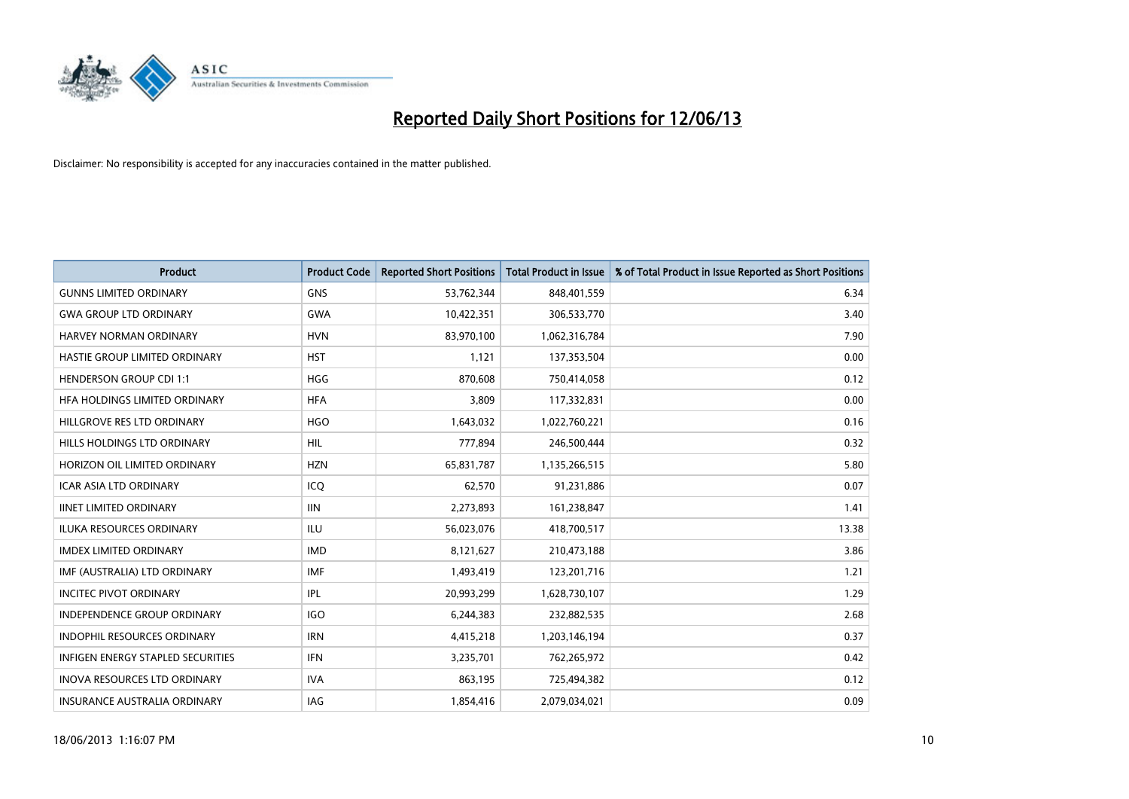

| <b>Product</b>                      | <b>Product Code</b> | <b>Reported Short Positions</b> | <b>Total Product in Issue</b> | % of Total Product in Issue Reported as Short Positions |
|-------------------------------------|---------------------|---------------------------------|-------------------------------|---------------------------------------------------------|
| <b>GUNNS LIMITED ORDINARY</b>       | <b>GNS</b>          | 53,762,344                      | 848,401,559                   | 6.34                                                    |
| <b>GWA GROUP LTD ORDINARY</b>       | <b>GWA</b>          | 10,422,351                      | 306,533,770                   | 3.40                                                    |
| HARVEY NORMAN ORDINARY              | <b>HVN</b>          | 83,970,100                      | 1,062,316,784                 | 7.90                                                    |
| HASTIE GROUP LIMITED ORDINARY       | <b>HST</b>          | 1,121                           | 137,353,504                   | 0.00                                                    |
| <b>HENDERSON GROUP CDI 1:1</b>      | <b>HGG</b>          | 870,608                         | 750,414,058                   | 0.12                                                    |
| HFA HOLDINGS LIMITED ORDINARY       | <b>HFA</b>          | 3,809                           | 117,332,831                   | 0.00                                                    |
| HILLGROVE RES LTD ORDINARY          | <b>HGO</b>          | 1,643,032                       | 1,022,760,221                 | 0.16                                                    |
| HILLS HOLDINGS LTD ORDINARY         | <b>HIL</b>          | 777,894                         | 246,500,444                   | 0.32                                                    |
| HORIZON OIL LIMITED ORDINARY        | <b>HZN</b>          | 65,831,787                      | 1,135,266,515                 | 5.80                                                    |
| <b>ICAR ASIA LTD ORDINARY</b>       | ICQ                 | 62,570                          | 91,231,886                    | 0.07                                                    |
| <b>IINET LIMITED ORDINARY</b>       | <b>IIN</b>          | 2,273,893                       | 161,238,847                   | 1.41                                                    |
| <b>ILUKA RESOURCES ORDINARY</b>     | ILU                 | 56,023,076                      | 418,700,517                   | 13.38                                                   |
| <b>IMDEX LIMITED ORDINARY</b>       | <b>IMD</b>          | 8,121,627                       | 210,473,188                   | 3.86                                                    |
| IMF (AUSTRALIA) LTD ORDINARY        | IMF                 | 1,493,419                       | 123,201,716                   | 1.21                                                    |
| <b>INCITEC PIVOT ORDINARY</b>       | IPL                 | 20,993,299                      | 1,628,730,107                 | 1.29                                                    |
| INDEPENDENCE GROUP ORDINARY         | <b>IGO</b>          | 6,244,383                       | 232,882,535                   | 2.68                                                    |
| INDOPHIL RESOURCES ORDINARY         | <b>IRN</b>          | 4,415,218                       | 1,203,146,194                 | 0.37                                                    |
| INFIGEN ENERGY STAPLED SECURITIES   | <b>IFN</b>          | 3,235,701                       | 762,265,972                   | 0.42                                                    |
| <b>INOVA RESOURCES LTD ORDINARY</b> | <b>IVA</b>          | 863,195                         | 725,494,382                   | 0.12                                                    |
| <b>INSURANCE AUSTRALIA ORDINARY</b> | IAG                 | 1,854,416                       | 2,079,034,021                 | 0.09                                                    |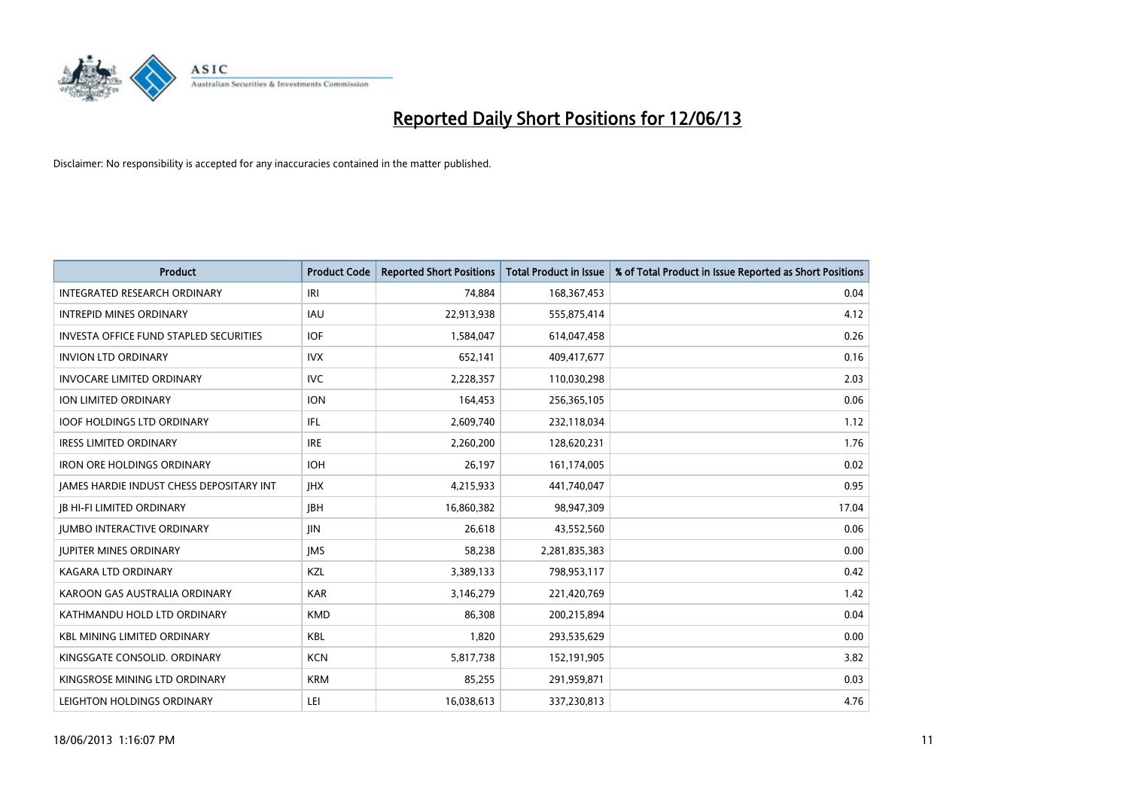

| Product                                         | <b>Product Code</b> | <b>Reported Short Positions</b> | <b>Total Product in Issue</b> | % of Total Product in Issue Reported as Short Positions |
|-------------------------------------------------|---------------------|---------------------------------|-------------------------------|---------------------------------------------------------|
| <b>INTEGRATED RESEARCH ORDINARY</b>             | IRI                 | 74,884                          | 168, 367, 453                 | 0.04                                                    |
| <b>INTREPID MINES ORDINARY</b>                  | IAU                 | 22,913,938                      | 555,875,414                   | 4.12                                                    |
| <b>INVESTA OFFICE FUND STAPLED SECURITIES</b>   | <b>IOF</b>          | 1,584,047                       | 614,047,458                   | 0.26                                                    |
| <b>INVION LTD ORDINARY</b>                      | <b>IVX</b>          | 652,141                         | 409,417,677                   | 0.16                                                    |
| <b>INVOCARE LIMITED ORDINARY</b>                | <b>IVC</b>          | 2,228,357                       | 110,030,298                   | 2.03                                                    |
| ION LIMITED ORDINARY                            | <b>ION</b>          | 164,453                         | 256,365,105                   | 0.06                                                    |
| <b>IOOF HOLDINGS LTD ORDINARY</b>               | IFL                 | 2,609,740                       | 232,118,034                   | 1.12                                                    |
| <b>IRESS LIMITED ORDINARY</b>                   | <b>IRE</b>          | 2,260,200                       | 128,620,231                   | 1.76                                                    |
| <b>IRON ORE HOLDINGS ORDINARY</b>               | <b>IOH</b>          | 26,197                          | 161,174,005                   | 0.02                                                    |
| <b>JAMES HARDIE INDUST CHESS DEPOSITARY INT</b> | <b>IHX</b>          | 4,215,933                       | 441,740,047                   | 0.95                                                    |
| <b>JB HI-FI LIMITED ORDINARY</b>                | <b>IBH</b>          | 16,860,382                      | 98,947,309                    | 17.04                                                   |
| <b>JUMBO INTERACTIVE ORDINARY</b>               | JIN                 | 26,618                          | 43,552,560                    | 0.06                                                    |
| <b>JUPITER MINES ORDINARY</b>                   | <b>IMS</b>          | 58,238                          | 2,281,835,383                 | 0.00                                                    |
| <b>KAGARA LTD ORDINARY</b>                      | KZL                 | 3,389,133                       | 798,953,117                   | 0.42                                                    |
| KAROON GAS AUSTRALIA ORDINARY                   | <b>KAR</b>          | 3,146,279                       | 221,420,769                   | 1.42                                                    |
| KATHMANDU HOLD LTD ORDINARY                     | <b>KMD</b>          | 86,308                          | 200,215,894                   | 0.04                                                    |
| <b>KBL MINING LIMITED ORDINARY</b>              | KBL                 | 1,820                           | 293,535,629                   | 0.00                                                    |
| KINGSGATE CONSOLID, ORDINARY                    | <b>KCN</b>          | 5,817,738                       | 152,191,905                   | 3.82                                                    |
| KINGSROSE MINING LTD ORDINARY                   | <b>KRM</b>          | 85,255                          | 291,959,871                   | 0.03                                                    |
| LEIGHTON HOLDINGS ORDINARY                      | LEI                 | 16,038,613                      | 337,230,813                   | 4.76                                                    |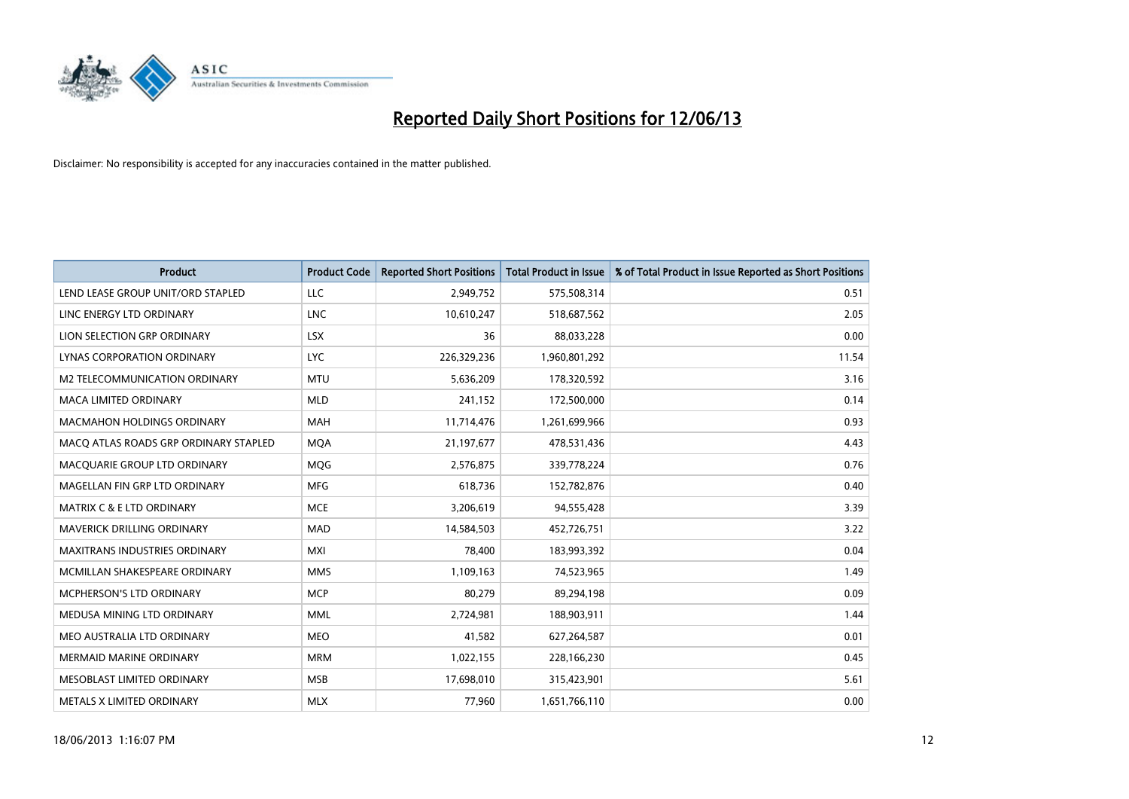

| <b>Product</b>                        | <b>Product Code</b> | <b>Reported Short Positions</b> | <b>Total Product in Issue</b> | % of Total Product in Issue Reported as Short Positions |
|---------------------------------------|---------------------|---------------------------------|-------------------------------|---------------------------------------------------------|
| LEND LEASE GROUP UNIT/ORD STAPLED     | <b>LLC</b>          | 2,949,752                       | 575,508,314                   | 0.51                                                    |
| LINC ENERGY LTD ORDINARY              | <b>LNC</b>          | 10,610,247                      | 518,687,562                   | 2.05                                                    |
| LION SELECTION GRP ORDINARY           | <b>LSX</b>          | 36                              | 88,033,228                    | 0.00                                                    |
| LYNAS CORPORATION ORDINARY            | <b>LYC</b>          | 226,329,236                     | 1,960,801,292                 | 11.54                                                   |
| <b>M2 TELECOMMUNICATION ORDINARY</b>  | <b>MTU</b>          | 5,636,209                       | 178,320,592                   | 3.16                                                    |
| <b>MACA LIMITED ORDINARY</b>          | <b>MLD</b>          | 241,152                         | 172,500,000                   | 0.14                                                    |
| <b>MACMAHON HOLDINGS ORDINARY</b>     | MAH                 | 11,714,476                      | 1,261,699,966                 | 0.93                                                    |
| MACO ATLAS ROADS GRP ORDINARY STAPLED | <b>MOA</b>          | 21,197,677                      | 478,531,436                   | 4.43                                                    |
| MACQUARIE GROUP LTD ORDINARY          | <b>MOG</b>          | 2,576,875                       | 339,778,224                   | 0.76                                                    |
| MAGELLAN FIN GRP LTD ORDINARY         | <b>MFG</b>          | 618,736                         | 152,782,876                   | 0.40                                                    |
| <b>MATRIX C &amp; E LTD ORDINARY</b>  | <b>MCE</b>          | 3,206,619                       | 94,555,428                    | 3.39                                                    |
| <b>MAVERICK DRILLING ORDINARY</b>     | <b>MAD</b>          | 14,584,503                      | 452,726,751                   | 3.22                                                    |
| <b>MAXITRANS INDUSTRIES ORDINARY</b>  | <b>MXI</b>          | 78,400                          | 183,993,392                   | 0.04                                                    |
| MCMILLAN SHAKESPEARE ORDINARY         | <b>MMS</b>          | 1,109,163                       | 74,523,965                    | 1.49                                                    |
| <b>MCPHERSON'S LTD ORDINARY</b>       | <b>MCP</b>          | 80,279                          | 89,294,198                    | 0.09                                                    |
| MEDUSA MINING LTD ORDINARY            | <b>MML</b>          | 2,724,981                       | 188,903,911                   | 1.44                                                    |
| MEO AUSTRALIA LTD ORDINARY            | <b>MEO</b>          | 41,582                          | 627,264,587                   | 0.01                                                    |
| <b>MERMAID MARINE ORDINARY</b>        | <b>MRM</b>          | 1,022,155                       | 228,166,230                   | 0.45                                                    |
| MESOBLAST LIMITED ORDINARY            | <b>MSB</b>          | 17,698,010                      | 315,423,901                   | 5.61                                                    |
| METALS X LIMITED ORDINARY             | <b>MLX</b>          | 77,960                          | 1,651,766,110                 | 0.00                                                    |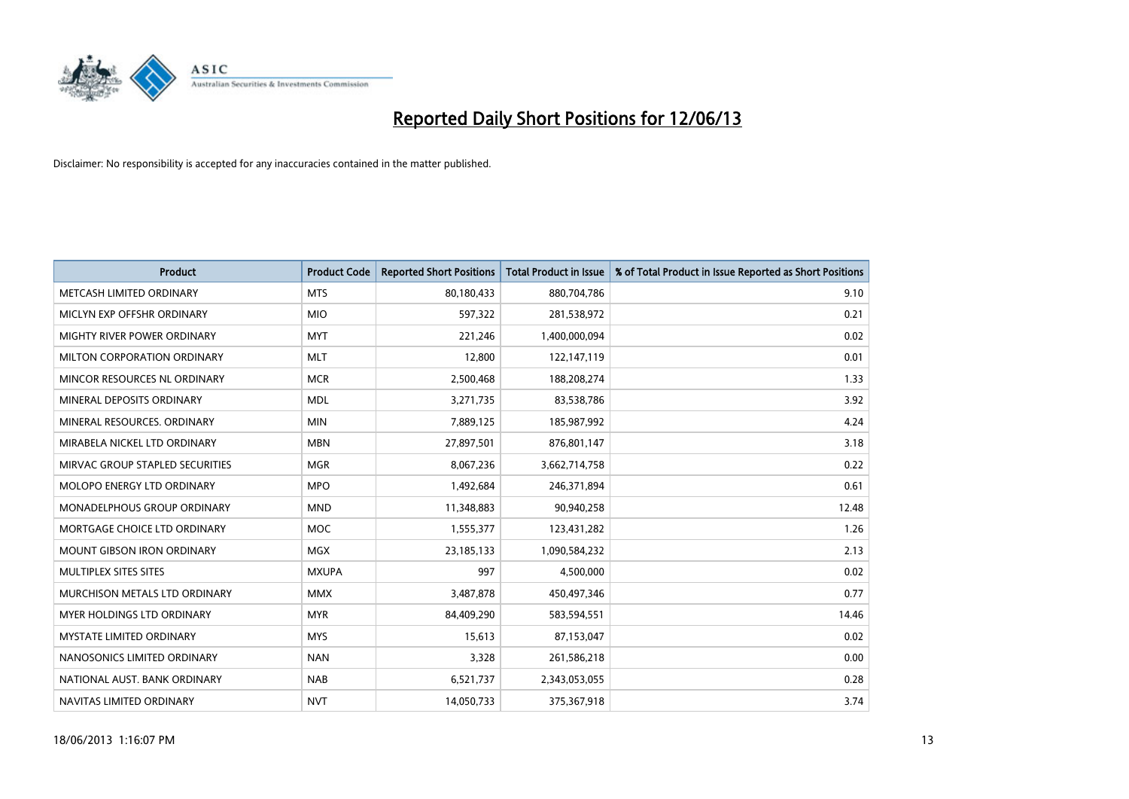

| <b>Product</b>                     | <b>Product Code</b> | <b>Reported Short Positions</b> | <b>Total Product in Issue</b> | % of Total Product in Issue Reported as Short Positions |
|------------------------------------|---------------------|---------------------------------|-------------------------------|---------------------------------------------------------|
| METCASH LIMITED ORDINARY           | <b>MTS</b>          | 80,180,433                      | 880,704,786                   | 9.10                                                    |
| MICLYN EXP OFFSHR ORDINARY         | <b>MIO</b>          | 597,322                         | 281,538,972                   | 0.21                                                    |
| MIGHTY RIVER POWER ORDINARY        | <b>MYT</b>          | 221,246                         | 1,400,000,094                 | 0.02                                                    |
| MILTON CORPORATION ORDINARY        | <b>MLT</b>          | 12,800                          | 122,147,119                   | 0.01                                                    |
| MINCOR RESOURCES NL ORDINARY       | <b>MCR</b>          | 2,500,468                       | 188,208,274                   | 1.33                                                    |
| MINERAL DEPOSITS ORDINARY          | <b>MDL</b>          | 3,271,735                       | 83,538,786                    | 3.92                                                    |
| MINERAL RESOURCES, ORDINARY        | <b>MIN</b>          | 7,889,125                       | 185,987,992                   | 4.24                                                    |
| MIRABELA NICKEL LTD ORDINARY       | <b>MBN</b>          | 27,897,501                      | 876,801,147                   | 3.18                                                    |
| MIRVAC GROUP STAPLED SECURITIES    | <b>MGR</b>          | 8,067,236                       | 3,662,714,758                 | 0.22                                                    |
| MOLOPO ENERGY LTD ORDINARY         | <b>MPO</b>          | 1,492,684                       | 246,371,894                   | 0.61                                                    |
| <b>MONADELPHOUS GROUP ORDINARY</b> | <b>MND</b>          | 11,348,883                      | 90,940,258                    | 12.48                                                   |
| MORTGAGE CHOICE LTD ORDINARY       | MOC                 | 1,555,377                       | 123,431,282                   | 1.26                                                    |
| MOUNT GIBSON IRON ORDINARY         | <b>MGX</b>          | 23,185,133                      | 1,090,584,232                 | 2.13                                                    |
| MULTIPLEX SITES SITES              | <b>MXUPA</b>        | 997                             | 4,500,000                     | 0.02                                                    |
| MURCHISON METALS LTD ORDINARY      | <b>MMX</b>          | 3,487,878                       | 450,497,346                   | 0.77                                                    |
| <b>MYER HOLDINGS LTD ORDINARY</b>  | <b>MYR</b>          | 84,409,290                      | 583,594,551                   | 14.46                                                   |
| <b>MYSTATE LIMITED ORDINARY</b>    | <b>MYS</b>          | 15,613                          | 87,153,047                    | 0.02                                                    |
| NANOSONICS LIMITED ORDINARY        | <b>NAN</b>          | 3,328                           | 261,586,218                   | 0.00                                                    |
| NATIONAL AUST, BANK ORDINARY       | <b>NAB</b>          | 6,521,737                       | 2,343,053,055                 | 0.28                                                    |
| NAVITAS LIMITED ORDINARY           | <b>NVT</b>          | 14,050,733                      | 375,367,918                   | 3.74                                                    |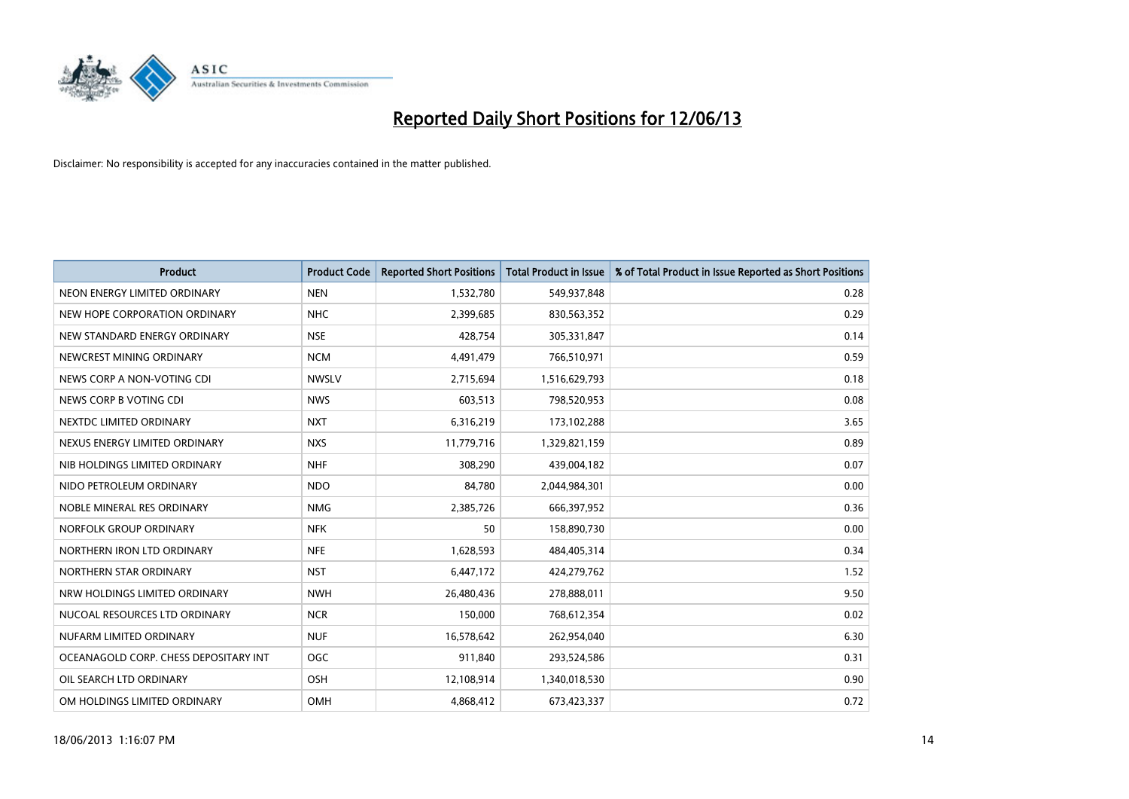

| <b>Product</b>                        | <b>Product Code</b> | <b>Reported Short Positions</b> | <b>Total Product in Issue</b> | % of Total Product in Issue Reported as Short Positions |
|---------------------------------------|---------------------|---------------------------------|-------------------------------|---------------------------------------------------------|
| NEON ENERGY LIMITED ORDINARY          | <b>NEN</b>          | 1,532,780                       | 549,937,848                   | 0.28                                                    |
| NEW HOPE CORPORATION ORDINARY         | <b>NHC</b>          | 2,399,685                       | 830,563,352                   | 0.29                                                    |
| NEW STANDARD ENERGY ORDINARY          | <b>NSE</b>          | 428,754                         | 305,331,847                   | 0.14                                                    |
| NEWCREST MINING ORDINARY              | <b>NCM</b>          | 4,491,479                       | 766,510,971                   | 0.59                                                    |
| NEWS CORP A NON-VOTING CDI            | <b>NWSLV</b>        | 2,715,694                       | 1,516,629,793                 | 0.18                                                    |
| NEWS CORP B VOTING CDI                | <b>NWS</b>          | 603,513                         | 798,520,953                   | 0.08                                                    |
| NEXTDC LIMITED ORDINARY               | <b>NXT</b>          | 6,316,219                       | 173,102,288                   | 3.65                                                    |
| NEXUS ENERGY LIMITED ORDINARY         | <b>NXS</b>          | 11,779,716                      | 1,329,821,159                 | 0.89                                                    |
| NIB HOLDINGS LIMITED ORDINARY         | <b>NHF</b>          | 308,290                         | 439,004,182                   | 0.07                                                    |
| NIDO PETROLEUM ORDINARY               | <b>NDO</b>          | 84,780                          | 2,044,984,301                 | 0.00                                                    |
| NOBLE MINERAL RES ORDINARY            | <b>NMG</b>          | 2,385,726                       | 666,397,952                   | 0.36                                                    |
| NORFOLK GROUP ORDINARY                | <b>NFK</b>          | 50                              | 158,890,730                   | 0.00                                                    |
| NORTHERN IRON LTD ORDINARY            | <b>NFE</b>          | 1,628,593                       | 484,405,314                   | 0.34                                                    |
| NORTHERN STAR ORDINARY                | <b>NST</b>          | 6,447,172                       | 424,279,762                   | 1.52                                                    |
| NRW HOLDINGS LIMITED ORDINARY         | <b>NWH</b>          | 26,480,436                      | 278,888,011                   | 9.50                                                    |
| NUCOAL RESOURCES LTD ORDINARY         | <b>NCR</b>          | 150,000                         | 768,612,354                   | 0.02                                                    |
| NUFARM LIMITED ORDINARY               | <b>NUF</b>          | 16,578,642                      | 262,954,040                   | 6.30                                                    |
| OCEANAGOLD CORP. CHESS DEPOSITARY INT | OGC                 | 911,840                         | 293,524,586                   | 0.31                                                    |
| OIL SEARCH LTD ORDINARY               | OSH                 | 12,108,914                      | 1,340,018,530                 | 0.90                                                    |
| OM HOLDINGS LIMITED ORDINARY          | OMH                 | 4,868,412                       | 673,423,337                   | 0.72                                                    |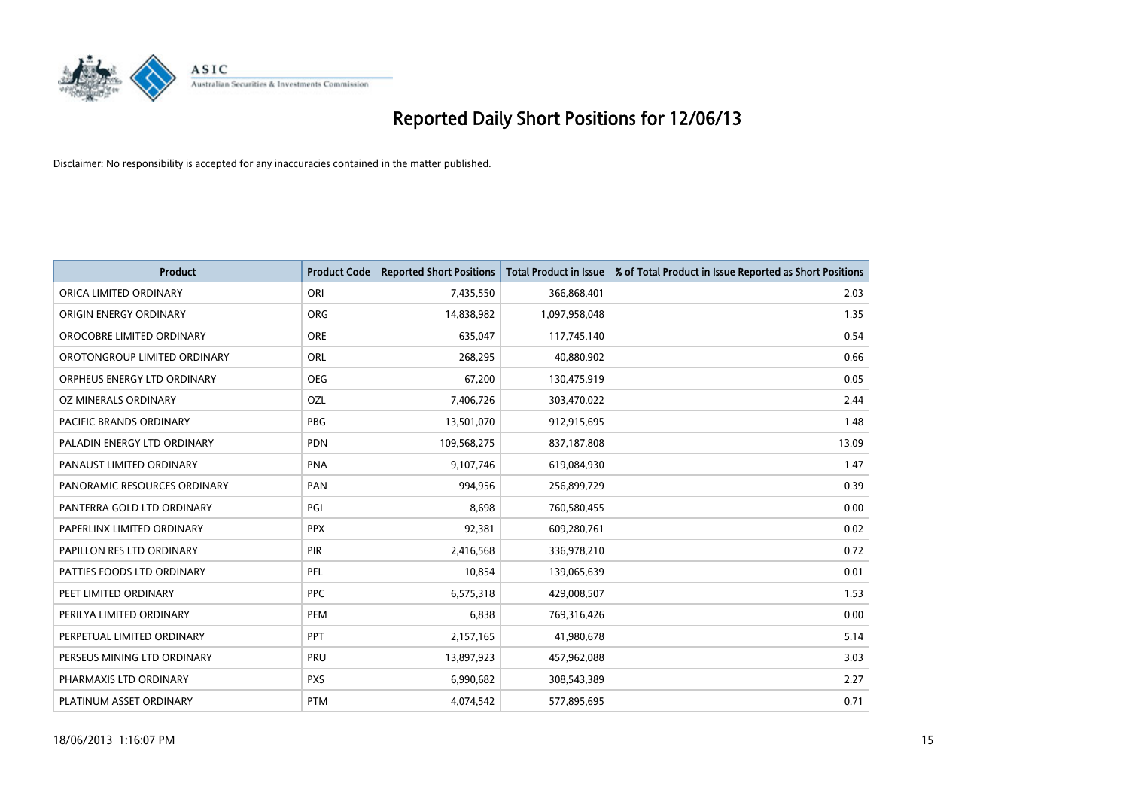

| <b>Product</b>               | <b>Product Code</b> | <b>Reported Short Positions</b> | <b>Total Product in Issue</b> | % of Total Product in Issue Reported as Short Positions |
|------------------------------|---------------------|---------------------------------|-------------------------------|---------------------------------------------------------|
| ORICA LIMITED ORDINARY       | ORI                 | 7,435,550                       | 366,868,401                   | 2.03                                                    |
| ORIGIN ENERGY ORDINARY       | ORG                 | 14,838,982                      | 1,097,958,048                 | 1.35                                                    |
| OROCOBRE LIMITED ORDINARY    | <b>ORE</b>          | 635,047                         | 117,745,140                   | 0.54                                                    |
| OROTONGROUP LIMITED ORDINARY | ORL                 | 268,295                         | 40,880,902                    | 0.66                                                    |
| ORPHEUS ENERGY LTD ORDINARY  | <b>OEG</b>          | 67,200                          | 130,475,919                   | 0.05                                                    |
| OZ MINERALS ORDINARY         | OZL                 | 7,406,726                       | 303,470,022                   | 2.44                                                    |
| PACIFIC BRANDS ORDINARY      | <b>PBG</b>          | 13,501,070                      | 912,915,695                   | 1.48                                                    |
| PALADIN ENERGY LTD ORDINARY  | PDN                 | 109,568,275                     | 837,187,808                   | 13.09                                                   |
| PANAUST LIMITED ORDINARY     | <b>PNA</b>          | 9,107,746                       | 619,084,930                   | 1.47                                                    |
| PANORAMIC RESOURCES ORDINARY | PAN                 | 994,956                         | 256,899,729                   | 0.39                                                    |
| PANTERRA GOLD LTD ORDINARY   | PGI                 | 8,698                           | 760,580,455                   | 0.00                                                    |
| PAPERLINX LIMITED ORDINARY   | <b>PPX</b>          | 92,381                          | 609,280,761                   | 0.02                                                    |
| PAPILLON RES LTD ORDINARY    | PIR                 | 2,416,568                       | 336,978,210                   | 0.72                                                    |
| PATTIES FOODS LTD ORDINARY   | PFL                 | 10,854                          | 139,065,639                   | 0.01                                                    |
| PEET LIMITED ORDINARY        | <b>PPC</b>          | 6,575,318                       | 429,008,507                   | 1.53                                                    |
| PERILYA LIMITED ORDINARY     | PEM                 | 6,838                           | 769,316,426                   | 0.00                                                    |
| PERPETUAL LIMITED ORDINARY   | <b>PPT</b>          | 2,157,165                       | 41,980,678                    | 5.14                                                    |
| PERSEUS MINING LTD ORDINARY  | <b>PRU</b>          | 13,897,923                      | 457,962,088                   | 3.03                                                    |
| PHARMAXIS LTD ORDINARY       | <b>PXS</b>          | 6,990,682                       | 308,543,389                   | 2.27                                                    |
| PLATINUM ASSET ORDINARY      | <b>PTM</b>          | 4,074,542                       | 577,895,695                   | 0.71                                                    |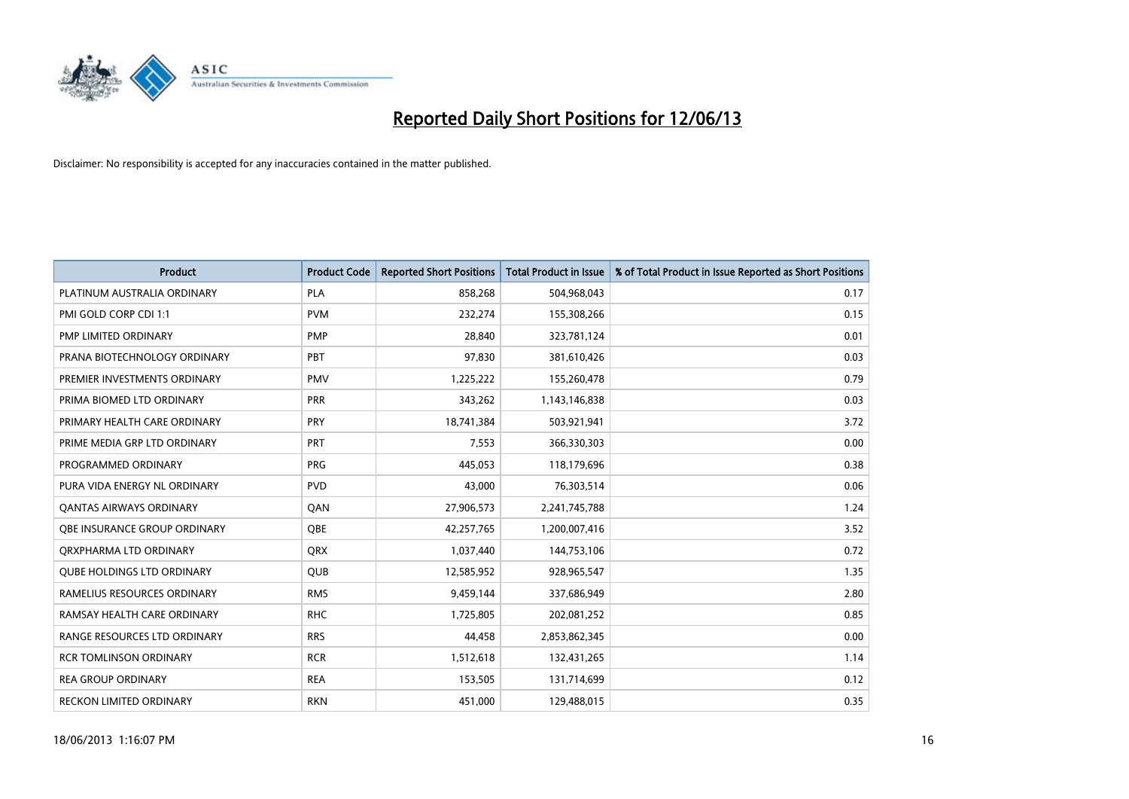

| <b>Product</b>                      | <b>Product Code</b> | <b>Reported Short Positions</b> | <b>Total Product in Issue</b> | % of Total Product in Issue Reported as Short Positions |
|-------------------------------------|---------------------|---------------------------------|-------------------------------|---------------------------------------------------------|
| PLATINUM AUSTRALIA ORDINARY         | PLA                 | 858,268                         | 504,968,043                   | 0.17                                                    |
| PMI GOLD CORP CDI 1:1               | <b>PVM</b>          | 232,274                         | 155,308,266                   | 0.15                                                    |
| PMP LIMITED ORDINARY                | <b>PMP</b>          | 28,840                          | 323,781,124                   | 0.01                                                    |
| PRANA BIOTECHNOLOGY ORDINARY        | PBT                 | 97,830                          | 381,610,426                   | 0.03                                                    |
| PREMIER INVESTMENTS ORDINARY        | <b>PMV</b>          | 1,225,222                       | 155,260,478                   | 0.79                                                    |
| PRIMA BIOMED LTD ORDINARY           | <b>PRR</b>          | 343,262                         | 1,143,146,838                 | 0.03                                                    |
| PRIMARY HEALTH CARE ORDINARY        | <b>PRY</b>          | 18,741,384                      | 503,921,941                   | 3.72                                                    |
| PRIME MEDIA GRP LTD ORDINARY        | <b>PRT</b>          | 7,553                           | 366,330,303                   | 0.00                                                    |
| PROGRAMMED ORDINARY                 | <b>PRG</b>          | 445,053                         | 118,179,696                   | 0.38                                                    |
| PURA VIDA ENERGY NL ORDINARY        | <b>PVD</b>          | 43,000                          | 76,303,514                    | 0.06                                                    |
| <b>QANTAS AIRWAYS ORDINARY</b>      | QAN                 | 27,906,573                      | 2,241,745,788                 | 1.24                                                    |
| <b>OBE INSURANCE GROUP ORDINARY</b> | <b>OBE</b>          | 42,257,765                      | 1,200,007,416                 | 3.52                                                    |
| ORXPHARMA LTD ORDINARY              | QRX                 | 1,037,440                       | 144,753,106                   | 0.72                                                    |
| <b>QUBE HOLDINGS LTD ORDINARY</b>   | QUB                 | 12,585,952                      | 928,965,547                   | 1.35                                                    |
| RAMELIUS RESOURCES ORDINARY         | <b>RMS</b>          | 9,459,144                       | 337,686,949                   | 2.80                                                    |
| RAMSAY HEALTH CARE ORDINARY         | <b>RHC</b>          | 1,725,805                       | 202,081,252                   | 0.85                                                    |
| RANGE RESOURCES LTD ORDINARY        | <b>RRS</b>          | 44,458                          | 2,853,862,345                 | 0.00                                                    |
| <b>RCR TOMLINSON ORDINARY</b>       | <b>RCR</b>          | 1,512,618                       | 132,431,265                   | 1.14                                                    |
| <b>REA GROUP ORDINARY</b>           | <b>REA</b>          | 153,505                         | 131,714,699                   | 0.12                                                    |
| RECKON LIMITED ORDINARY             | <b>RKN</b>          | 451,000                         | 129,488,015                   | 0.35                                                    |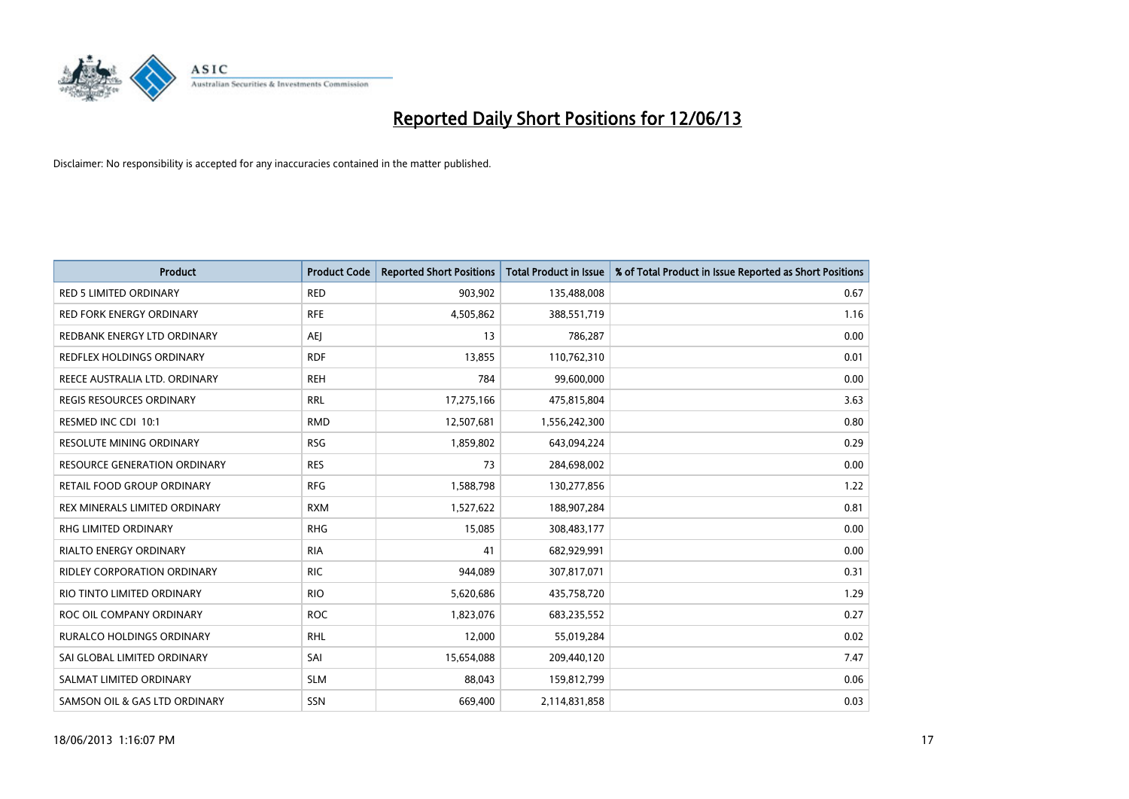

| <b>Product</b>                      | <b>Product Code</b> | <b>Reported Short Positions</b> | <b>Total Product in Issue</b> | % of Total Product in Issue Reported as Short Positions |
|-------------------------------------|---------------------|---------------------------------|-------------------------------|---------------------------------------------------------|
| <b>RED 5 LIMITED ORDINARY</b>       | <b>RED</b>          | 903,902                         | 135,488,008                   | 0.67                                                    |
| <b>RED FORK ENERGY ORDINARY</b>     | <b>RFE</b>          | 4,505,862                       | 388,551,719                   | 1.16                                                    |
| REDBANK ENERGY LTD ORDINARY         | AEJ                 | 13                              | 786,287                       | 0.00                                                    |
| REDFLEX HOLDINGS ORDINARY           | <b>RDF</b>          | 13,855                          | 110,762,310                   | 0.01                                                    |
| REECE AUSTRALIA LTD. ORDINARY       | <b>REH</b>          | 784                             | 99,600,000                    | 0.00                                                    |
| <b>REGIS RESOURCES ORDINARY</b>     | <b>RRL</b>          | 17,275,166                      | 475,815,804                   | 3.63                                                    |
| RESMED INC CDI 10:1                 | <b>RMD</b>          | 12,507,681                      | 1,556,242,300                 | 0.80                                                    |
| RESOLUTE MINING ORDINARY            | <b>RSG</b>          | 1,859,802                       | 643,094,224                   | 0.29                                                    |
| <b>RESOURCE GENERATION ORDINARY</b> | <b>RES</b>          | 73                              | 284,698,002                   | 0.00                                                    |
| <b>RETAIL FOOD GROUP ORDINARY</b>   | <b>RFG</b>          | 1,588,798                       | 130,277,856                   | 1.22                                                    |
| REX MINERALS LIMITED ORDINARY       | <b>RXM</b>          | 1,527,622                       | 188,907,284                   | 0.81                                                    |
| RHG LIMITED ORDINARY                | <b>RHG</b>          | 15,085                          | 308,483,177                   | 0.00                                                    |
| <b>RIALTO ENERGY ORDINARY</b>       | <b>RIA</b>          | 41                              | 682,929,991                   | 0.00                                                    |
| <b>RIDLEY CORPORATION ORDINARY</b>  | <b>RIC</b>          | 944,089                         | 307,817,071                   | 0.31                                                    |
| RIO TINTO LIMITED ORDINARY          | <b>RIO</b>          | 5,620,686                       | 435,758,720                   | 1.29                                                    |
| ROC OIL COMPANY ORDINARY            | <b>ROC</b>          | 1,823,076                       | 683,235,552                   | 0.27                                                    |
| RURALCO HOLDINGS ORDINARY           | <b>RHL</b>          | 12,000                          | 55,019,284                    | 0.02                                                    |
| SAI GLOBAL LIMITED ORDINARY         | SAI                 | 15,654,088                      | 209,440,120                   | 7.47                                                    |
| SALMAT LIMITED ORDINARY             | <b>SLM</b>          | 88,043                          | 159,812,799                   | 0.06                                                    |
| SAMSON OIL & GAS LTD ORDINARY       | SSN                 | 669,400                         | 2,114,831,858                 | 0.03                                                    |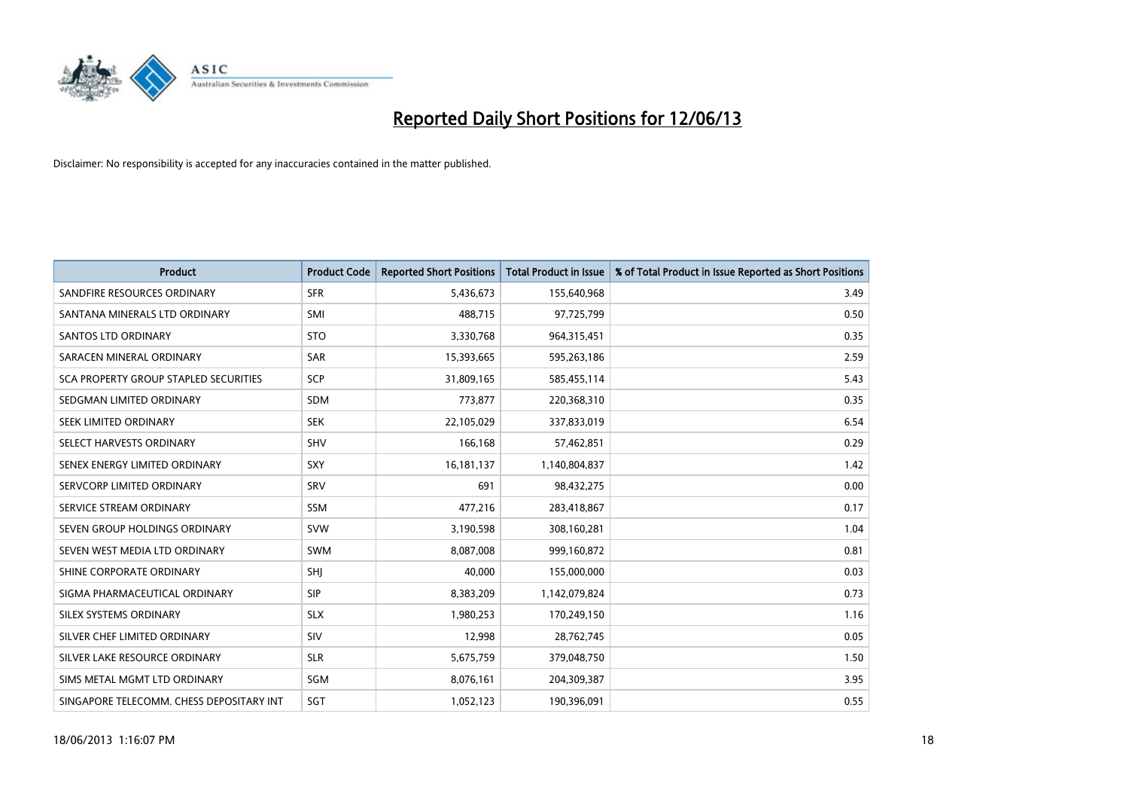

| <b>Product</b>                               | <b>Product Code</b> | <b>Reported Short Positions</b> | <b>Total Product in Issue</b> | % of Total Product in Issue Reported as Short Positions |
|----------------------------------------------|---------------------|---------------------------------|-------------------------------|---------------------------------------------------------|
| SANDFIRE RESOURCES ORDINARY                  | <b>SFR</b>          | 5,436,673                       | 155,640,968                   | 3.49                                                    |
| SANTANA MINERALS LTD ORDINARY                | SMI                 | 488,715                         | 97,725,799                    | 0.50                                                    |
| SANTOS LTD ORDINARY                          | <b>STO</b>          | 3,330,768                       | 964,315,451                   | 0.35                                                    |
| SARACEN MINERAL ORDINARY                     | <b>SAR</b>          | 15,393,665                      | 595,263,186                   | 2.59                                                    |
| <b>SCA PROPERTY GROUP STAPLED SECURITIES</b> | SCP                 | 31,809,165                      | 585,455,114                   | 5.43                                                    |
| SEDGMAN LIMITED ORDINARY                     | <b>SDM</b>          | 773,877                         | 220,368,310                   | 0.35                                                    |
| SEEK LIMITED ORDINARY                        | <b>SEK</b>          | 22,105,029                      | 337,833,019                   | 6.54                                                    |
| SELECT HARVESTS ORDINARY                     | <b>SHV</b>          | 166,168                         | 57,462,851                    | 0.29                                                    |
| SENEX ENERGY LIMITED ORDINARY                | SXY                 | 16,181,137                      | 1,140,804,837                 | 1.42                                                    |
| SERVCORP LIMITED ORDINARY                    | SRV                 | 691                             | 98,432,275                    | 0.00                                                    |
| SERVICE STREAM ORDINARY                      | <b>SSM</b>          | 477,216                         | 283,418,867                   | 0.17                                                    |
| SEVEN GROUP HOLDINGS ORDINARY                | <b>SVW</b>          | 3,190,598                       | 308,160,281                   | 1.04                                                    |
| SEVEN WEST MEDIA LTD ORDINARY                | <b>SWM</b>          | 8,087,008                       | 999,160,872                   | 0.81                                                    |
| SHINE CORPORATE ORDINARY                     | SHJ                 | 40,000                          | 155,000,000                   | 0.03                                                    |
| SIGMA PHARMACEUTICAL ORDINARY                | <b>SIP</b>          | 8,383,209                       | 1,142,079,824                 | 0.73                                                    |
| SILEX SYSTEMS ORDINARY                       | <b>SLX</b>          | 1,980,253                       | 170,249,150                   | 1.16                                                    |
| SILVER CHEF LIMITED ORDINARY                 | SIV                 | 12,998                          | 28,762,745                    | 0.05                                                    |
| SILVER LAKE RESOURCE ORDINARY                | <b>SLR</b>          | 5,675,759                       | 379,048,750                   | 1.50                                                    |
| SIMS METAL MGMT LTD ORDINARY                 | <b>SGM</b>          | 8,076,161                       | 204,309,387                   | 3.95                                                    |
| SINGAPORE TELECOMM. CHESS DEPOSITARY INT     | SGT                 | 1,052,123                       | 190,396,091                   | 0.55                                                    |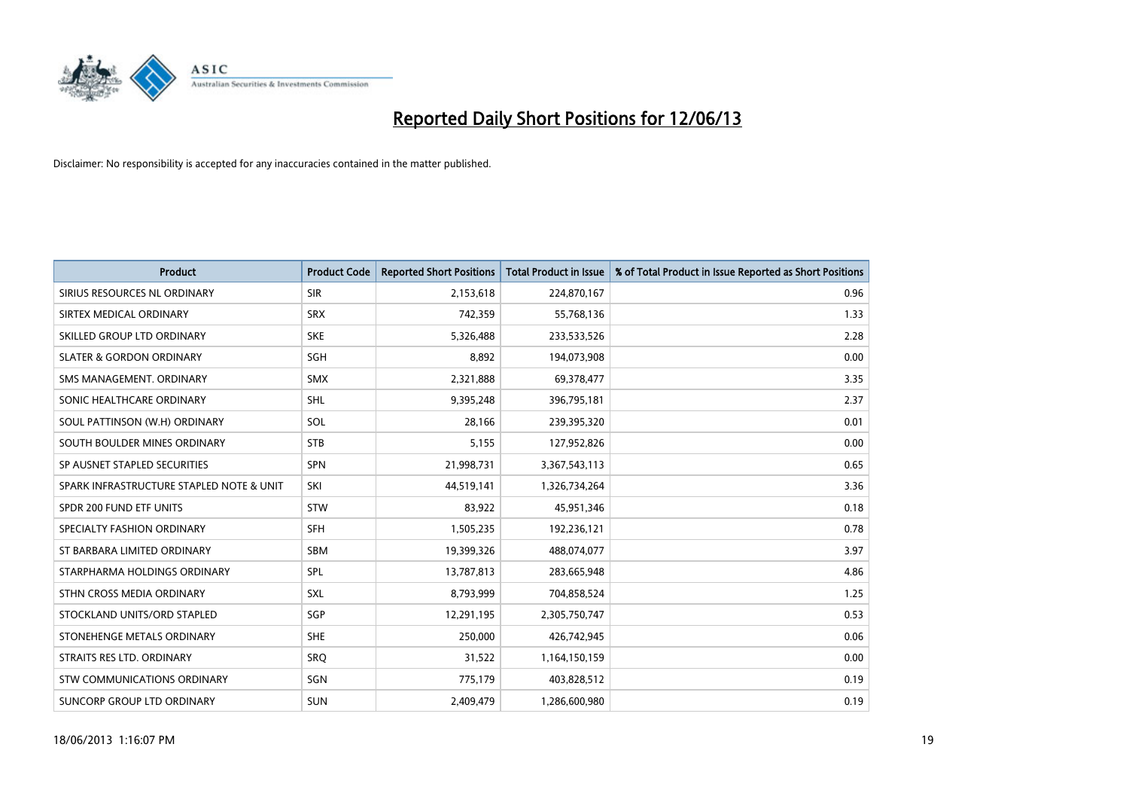

| <b>Product</b>                           | <b>Product Code</b> | <b>Reported Short Positions</b> | <b>Total Product in Issue</b> | % of Total Product in Issue Reported as Short Positions |
|------------------------------------------|---------------------|---------------------------------|-------------------------------|---------------------------------------------------------|
| SIRIUS RESOURCES NL ORDINARY             | <b>SIR</b>          | 2,153,618                       | 224,870,167                   | 0.96                                                    |
| SIRTEX MEDICAL ORDINARY                  | <b>SRX</b>          | 742,359                         | 55,768,136                    | 1.33                                                    |
| SKILLED GROUP LTD ORDINARY               | <b>SKE</b>          | 5,326,488                       | 233,533,526                   | 2.28                                                    |
| <b>SLATER &amp; GORDON ORDINARY</b>      | SGH                 | 8,892                           | 194,073,908                   | 0.00                                                    |
| SMS MANAGEMENT, ORDINARY                 | <b>SMX</b>          | 2,321,888                       | 69,378,477                    | 3.35                                                    |
| SONIC HEALTHCARE ORDINARY                | <b>SHL</b>          | 9,395,248                       | 396,795,181                   | 2.37                                                    |
| SOUL PATTINSON (W.H) ORDINARY            | SOL                 | 28,166                          | 239,395,320                   | 0.01                                                    |
| SOUTH BOULDER MINES ORDINARY             | <b>STB</b>          | 5,155                           | 127,952,826                   | 0.00                                                    |
| SP AUSNET STAPLED SECURITIES             | <b>SPN</b>          | 21,998,731                      | 3,367,543,113                 | 0.65                                                    |
| SPARK INFRASTRUCTURE STAPLED NOTE & UNIT | SKI                 | 44,519,141                      | 1,326,734,264                 | 3.36                                                    |
| SPDR 200 FUND ETF UNITS                  | <b>STW</b>          | 83,922                          | 45,951,346                    | 0.18                                                    |
| SPECIALTY FASHION ORDINARY               | <b>SFH</b>          | 1,505,235                       | 192,236,121                   | 0.78                                                    |
| ST BARBARA LIMITED ORDINARY              | SBM                 | 19,399,326                      | 488,074,077                   | 3.97                                                    |
| STARPHARMA HOLDINGS ORDINARY             | SPL                 | 13,787,813                      | 283,665,948                   | 4.86                                                    |
| STHN CROSS MEDIA ORDINARY                | <b>SXL</b>          | 8,793,999                       | 704,858,524                   | 1.25                                                    |
| STOCKLAND UNITS/ORD STAPLED              | SGP                 | 12,291,195                      | 2,305,750,747                 | 0.53                                                    |
| STONEHENGE METALS ORDINARY               | <b>SHE</b>          | 250,000                         | 426,742,945                   | 0.06                                                    |
| STRAITS RES LTD. ORDINARY                | SRQ                 | 31,522                          | 1,164,150,159                 | 0.00                                                    |
| STW COMMUNICATIONS ORDINARY              | SGN                 | 775,179                         | 403,828,512                   | 0.19                                                    |
| SUNCORP GROUP LTD ORDINARY               | <b>SUN</b>          | 2,409,479                       | 1,286,600,980                 | 0.19                                                    |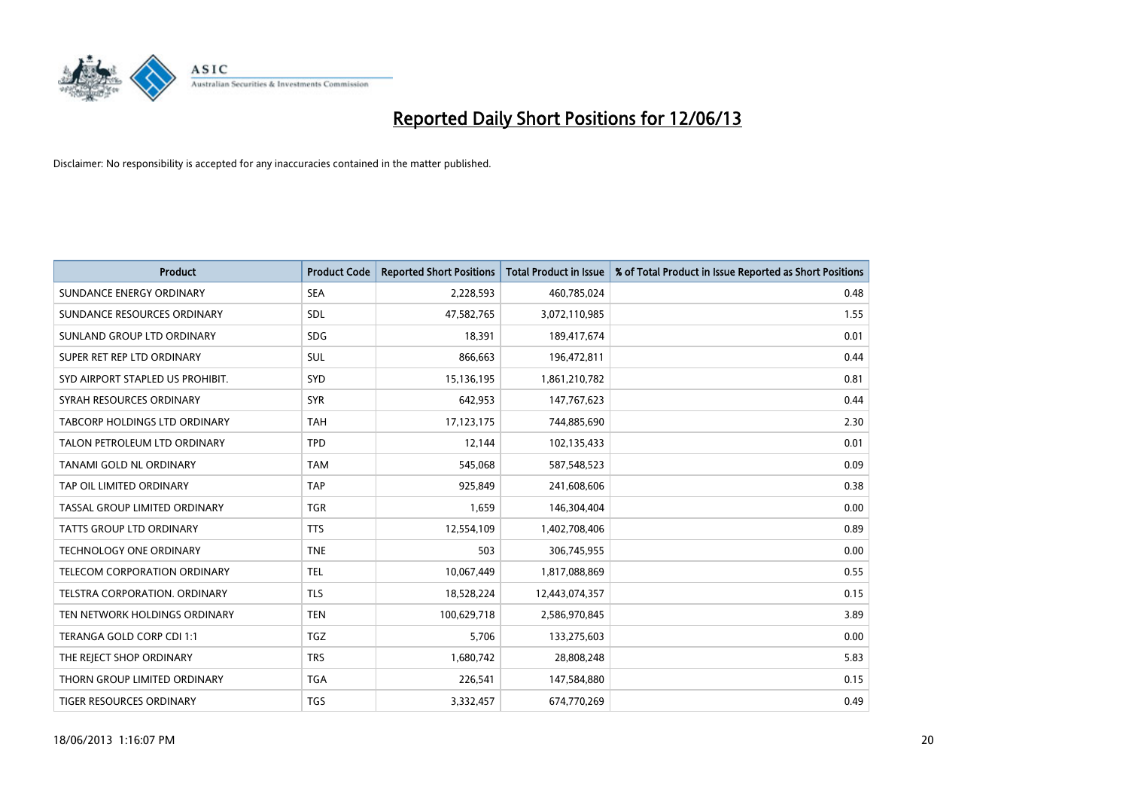

| <b>Product</b>                       | <b>Product Code</b> | <b>Reported Short Positions</b> | <b>Total Product in Issue</b> | % of Total Product in Issue Reported as Short Positions |
|--------------------------------------|---------------------|---------------------------------|-------------------------------|---------------------------------------------------------|
| SUNDANCE ENERGY ORDINARY             | <b>SEA</b>          | 2,228,593                       | 460,785,024                   | 0.48                                                    |
| SUNDANCE RESOURCES ORDINARY          | SDL                 | 47,582,765                      | 3,072,110,985                 | 1.55                                                    |
| SUNLAND GROUP LTD ORDINARY           | <b>SDG</b>          | 18,391                          | 189,417,674                   | 0.01                                                    |
| SUPER RET REP LTD ORDINARY           | SUL                 | 866,663                         | 196,472,811                   | 0.44                                                    |
| SYD AIRPORT STAPLED US PROHIBIT.     | <b>SYD</b>          | 15,136,195                      | 1,861,210,782                 | 0.81                                                    |
| SYRAH RESOURCES ORDINARY             | <b>SYR</b>          | 642,953                         | 147,767,623                   | 0.44                                                    |
| TABCORP HOLDINGS LTD ORDINARY        | <b>TAH</b>          | 17,123,175                      | 744,885,690                   | 2.30                                                    |
| TALON PETROLEUM LTD ORDINARY         | <b>TPD</b>          | 12,144                          | 102,135,433                   | 0.01                                                    |
| <b>TANAMI GOLD NL ORDINARY</b>       | <b>TAM</b>          | 545,068                         | 587,548,523                   | 0.09                                                    |
| TAP OIL LIMITED ORDINARY             | <b>TAP</b>          | 925,849                         | 241,608,606                   | 0.38                                                    |
| TASSAL GROUP LIMITED ORDINARY        | <b>TGR</b>          | 1,659                           | 146,304,404                   | 0.00                                                    |
| <b>TATTS GROUP LTD ORDINARY</b>      | <b>TTS</b>          | 12,554,109                      | 1,402,708,406                 | 0.89                                                    |
| TECHNOLOGY ONE ORDINARY              | <b>TNE</b>          | 503                             | 306,745,955                   | 0.00                                                    |
| TELECOM CORPORATION ORDINARY         | <b>TEL</b>          | 10,067,449                      | 1,817,088,869                 | 0.55                                                    |
| <b>TELSTRA CORPORATION, ORDINARY</b> | <b>TLS</b>          | 18,528,224                      | 12,443,074,357                | 0.15                                                    |
| TEN NETWORK HOLDINGS ORDINARY        | <b>TEN</b>          | 100,629,718                     | 2,586,970,845                 | 3.89                                                    |
| TERANGA GOLD CORP CDI 1:1            | <b>TGZ</b>          | 5,706                           | 133,275,603                   | 0.00                                                    |
| THE REJECT SHOP ORDINARY             | <b>TRS</b>          | 1,680,742                       | 28,808,248                    | 5.83                                                    |
| THORN GROUP LIMITED ORDINARY         | <b>TGA</b>          | 226,541                         | 147,584,880                   | 0.15                                                    |
| TIGER RESOURCES ORDINARY             | <b>TGS</b>          | 3,332,457                       | 674,770,269                   | 0.49                                                    |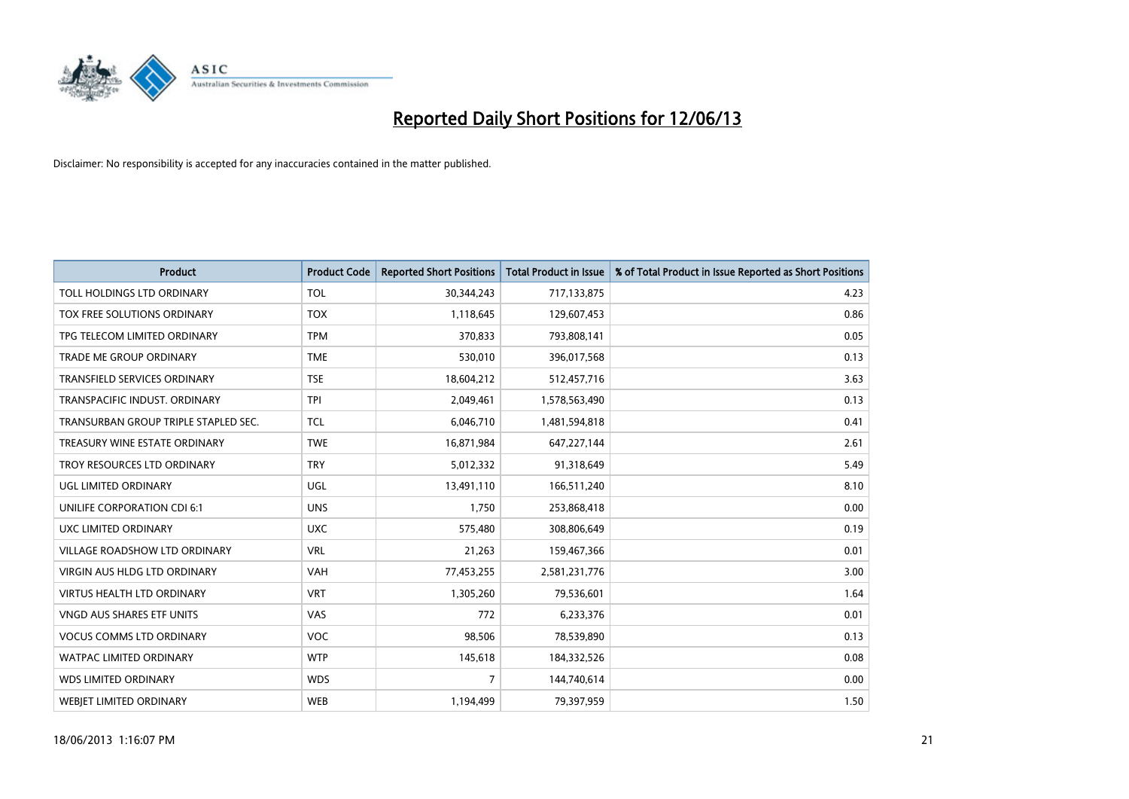

| <b>Product</b>                       | <b>Product Code</b> | <b>Reported Short Positions</b> | <b>Total Product in Issue</b> | % of Total Product in Issue Reported as Short Positions |
|--------------------------------------|---------------------|---------------------------------|-------------------------------|---------------------------------------------------------|
| TOLL HOLDINGS LTD ORDINARY           | <b>TOL</b>          | 30,344,243                      | 717,133,875                   | 4.23                                                    |
| TOX FREE SOLUTIONS ORDINARY          | <b>TOX</b>          | 1,118,645                       | 129,607,453                   | 0.86                                                    |
| TPG TELECOM LIMITED ORDINARY         | <b>TPM</b>          | 370,833                         | 793,808,141                   | 0.05                                                    |
| TRADE ME GROUP ORDINARY              | <b>TME</b>          | 530,010                         | 396,017,568                   | 0.13                                                    |
| <b>TRANSFIELD SERVICES ORDINARY</b>  | <b>TSE</b>          | 18,604,212                      | 512,457,716                   | 3.63                                                    |
| TRANSPACIFIC INDUST, ORDINARY        | <b>TPI</b>          | 2,049,461                       | 1,578,563,490                 | 0.13                                                    |
| TRANSURBAN GROUP TRIPLE STAPLED SEC. | <b>TCL</b>          | 6,046,710                       | 1,481,594,818                 | 0.41                                                    |
| TREASURY WINE ESTATE ORDINARY        | <b>TWE</b>          | 16,871,984                      | 647,227,144                   | 2.61                                                    |
| TROY RESOURCES LTD ORDINARY          | <b>TRY</b>          | 5,012,332                       | 91,318,649                    | 5.49                                                    |
| <b>UGL LIMITED ORDINARY</b>          | UGL                 | 13,491,110                      | 166,511,240                   | 8.10                                                    |
| UNILIFE CORPORATION CDI 6:1          | <b>UNS</b>          | 1,750                           | 253,868,418                   | 0.00                                                    |
| UXC LIMITED ORDINARY                 | <b>UXC</b>          | 575,480                         | 308,806,649                   | 0.19                                                    |
| VILLAGE ROADSHOW LTD ORDINARY        | <b>VRL</b>          | 21,263                          | 159,467,366                   | 0.01                                                    |
| <b>VIRGIN AUS HLDG LTD ORDINARY</b>  | <b>VAH</b>          | 77,453,255                      | 2,581,231,776                 | 3.00                                                    |
| <b>VIRTUS HEALTH LTD ORDINARY</b>    | <b>VRT</b>          | 1,305,260                       | 79,536,601                    | 1.64                                                    |
| VNGD AUS SHARES ETF UNITS            | VAS                 | 772                             | 6,233,376                     | 0.01                                                    |
| <b>VOCUS COMMS LTD ORDINARY</b>      | <b>VOC</b>          | 98,506                          | 78,539,890                    | 0.13                                                    |
| WATPAC LIMITED ORDINARY              | <b>WTP</b>          | 145,618                         | 184,332,526                   | 0.08                                                    |
| <b>WDS LIMITED ORDINARY</b>          | <b>WDS</b>          | $\overline{7}$                  | 144,740,614                   | 0.00                                                    |
| <b>WEBJET LIMITED ORDINARY</b>       | <b>WEB</b>          | 1,194,499                       | 79,397,959                    | 1.50                                                    |